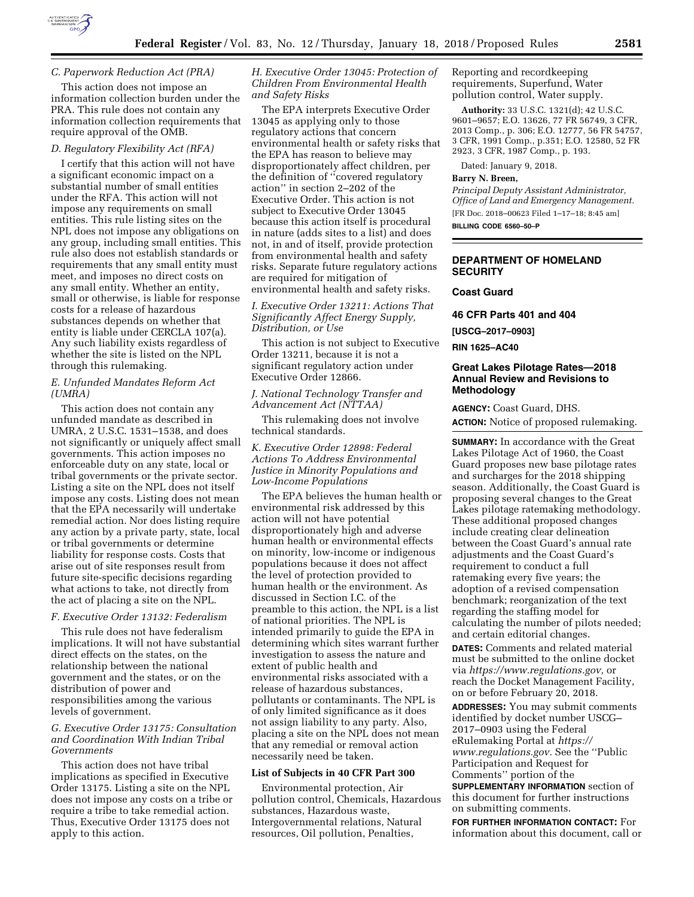

### *C. Paperwork Reduction Act (PRA)*

This action does not impose an information collection burden under the PRA. This rule does not contain any information collection requirements that require approval of the OMB.

### *D. Regulatory Flexibility Act (RFA)*

I certify that this action will not have a significant economic impact on a substantial number of small entities under the RFA. This action will not impose any requirements on small entities. This rule listing sites on the NPL does not impose any obligations on any group, including small entities. This rule also does not establish standards or requirements that any small entity must meet, and imposes no direct costs on any small entity. Whether an entity, small or otherwise, is liable for response costs for a release of hazardous substances depends on whether that entity is liable under CERCLA 107(a). Any such liability exists regardless of whether the site is listed on the NPL through this rulemaking.

### *E. Unfunded Mandates Reform Act (UMRA)*

This action does not contain any unfunded mandate as described in UMRA, 2 U.S.C. 1531–1538, and does not significantly or uniquely affect small governments. This action imposes no enforceable duty on any state, local or tribal governments or the private sector. Listing a site on the NPL does not itself impose any costs. Listing does not mean that the EPA necessarily will undertake remedial action. Nor does listing require any action by a private party, state, local or tribal governments or determine liability for response costs. Costs that arise out of site responses result from future site-specific decisions regarding what actions to take, not directly from the act of placing a site on the NPL.

# *F. Executive Order 13132: Federalism*

This rule does not have federalism implications. It will not have substantial direct effects on the states, on the relationship between the national government and the states, or on the distribution of power and responsibilities among the various levels of government.

# *G. Executive Order 13175: Consultation and Coordination With Indian Tribal Governments*

This action does not have tribal implications as specified in Executive Order 13175. Listing a site on the NPL does not impose any costs on a tribe or require a tribe to take remedial action. Thus, Executive Order 13175 does not apply to this action.

*H. Executive Order 13045: Protection of Children From Environmental Health and Safety Risks* 

The EPA interprets Executive Order 13045 as applying only to those regulatory actions that concern environmental health or safety risks that the EPA has reason to believe may disproportionately affect children, per the definition of ''covered regulatory action'' in section 2–202 of the Executive Order. This action is not subject to Executive Order 13045 because this action itself is procedural in nature (adds sites to a list) and does not, in and of itself, provide protection from environmental health and safety risks. Separate future regulatory actions are required for mitigation of environmental health and safety risks.

### *I. Executive Order 13211: Actions That Significantly Affect Energy Supply, Distribution, or Use*

This action is not subject to Executive Order 13211, because it is not a significant regulatory action under Executive Order 12866.

### *J. National Technology Transfer and Advancement Act (NTTAA)*

This rulemaking does not involve technical standards.

*K. Executive Order 12898: Federal Actions To Address Environmental Justice in Minority Populations and Low-Income Populations* 

The EPA believes the human health or environmental risk addressed by this action will not have potential disproportionately high and adverse human health or environmental effects on minority, low-income or indigenous populations because it does not affect the level of protection provided to human health or the environment. As discussed in Section I.C. of the preamble to this action, the NPL is a list of national priorities. The NPL is intended primarily to guide the EPA in determining which sites warrant further investigation to assess the nature and extent of public health and environmental risks associated with a release of hazardous substances, pollutants or contaminants. The NPL is of only limited significance as it does not assign liability to any party. Also, placing a site on the NPL does not mean that any remedial or removal action necessarily need be taken.

#### **List of Subjects in 40 CFR Part 300**

Environmental protection, Air pollution control, Chemicals, Hazardous substances, Hazardous waste, Intergovernmental relations, Natural resources, Oil pollution, Penalties,

Reporting and recordkeeping requirements, Superfund, Water pollution control, Water supply.

**Authority:** 33 U.S.C. 1321(d); 42 U.S.C. 9601–9657; E.O. 13626, 77 FR 56749, 3 CFR, 2013 Comp., p. 306; E.O. 12777, 56 FR 54757, 3 CFR, 1991 Comp., p.351; E.O. 12580, 52 FR 2923, 3 CFR, 1987 Comp., p. 193.

Dated: January 9, 2018.

### **Barry N. Breen,**

*Principal Deputy Assistant Administrator, Office of Land and Emergency Management.*  [FR Doc. 2018–00623 Filed 1–17–18; 8:45 am] **BILLING CODE 6560–50–P** 

# **DEPARTMENT OF HOMELAND SECURITY**

#### **Coast Guard**

**46 CFR Parts 401 and 404** 

**[USCG–2017–0903]** 

### **RIN 1625–AC40**

### **Great Lakes Pilotage Rates—2018 Annual Review and Revisions to Methodology**

**AGENCY:** Coast Guard, DHS. **ACTION:** Notice of proposed rulemaking.

**SUMMARY:** In accordance with the Great Lakes Pilotage Act of 1960, the Coast Guard proposes new base pilotage rates and surcharges for the 2018 shipping season. Additionally, the Coast Guard is proposing several changes to the Great Lakes pilotage ratemaking methodology. These additional proposed changes include creating clear delineation between the Coast Guard's annual rate adjustments and the Coast Guard's requirement to conduct a full ratemaking every five years; the adoption of a revised compensation benchmark; reorganization of the text regarding the staffing model for calculating the number of pilots needed; and certain editorial changes.

**DATES:** Comments and related material must be submitted to the online docket via *[https://www.regulations.gov,](https://www.regulations.gov)* or reach the Docket Management Facility, on or before February 20, 2018.

**ADDRESSES:** You may submit comments identified by docket number USCG– 2017–0903 using the Federal eRulemaking Portal at *[https://](https://www.regulations.gov) [www.regulations.gov.](https://www.regulations.gov)* See the ''Public Participation and Request for Comments'' portion of the **SUPPLEMENTARY INFORMATION** section of

this document for further instructions on submitting comments.

**FOR FURTHER INFORMATION CONTACT:** For information about this document, call or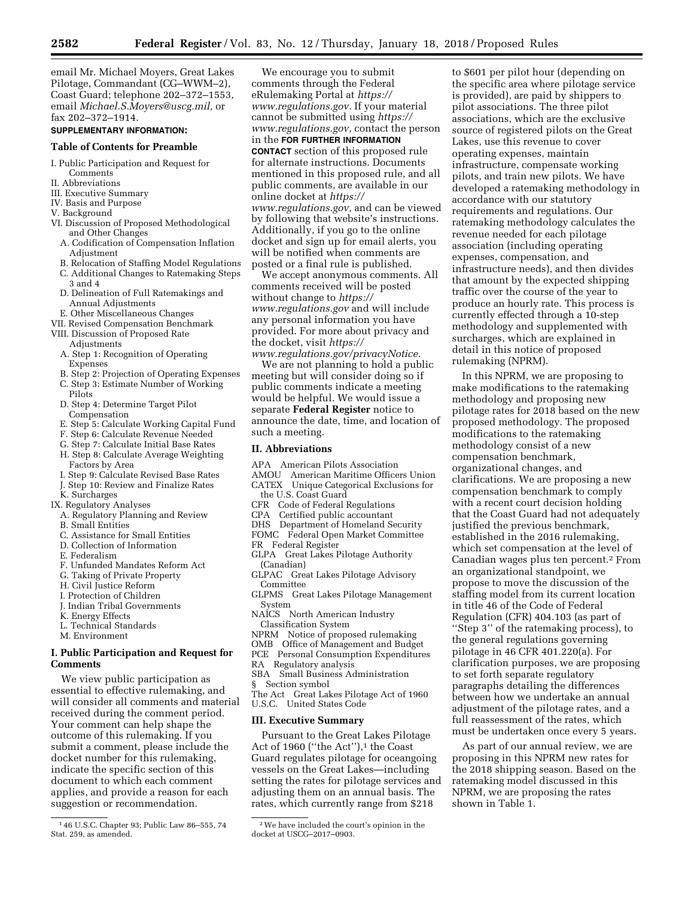We encourage you to submit comments through the Federal

email Mr. Michael Moyers, Great Lakes Pilotage, Commandant (CG–WWM–2), Coast Guard; telephone 202–372–1553, email *[Michael.S.Moyers@uscg.mil,](mailto:Michael.S.Moyers@uscg.mil)* or fax 202–372–1914.

#### **SUPPLEMENTARY INFORMATION:**

#### **Table of Contents for Preamble**

- I. Public Participation and Request for Comments
- II. Abbreviations
- III. Executive Summary
- IV. Basis and Purpose
- V. Background
- VI. Discussion of Proposed Methodological and Other Changes
	- A. Codification of Compensation Inflation Adjustment
	- B. Relocation of Staffing Model Regulations
	- C. Additional Changes to Ratemaking Steps 3 and 4
	- D. Delineation of Full Ratemakings and Annual Adjustments
- E. Other Miscellaneous Changes
- VII. Revised Compensation Benchmark
- VIII. Discussion of Proposed Rate Adjustments
	- A. Step 1: Recognition of Operating Expenses
	- B. Step 2: Projection of Operating Expenses
	- C. Step 3: Estimate Number of Working Pilots
	- D. Step 4: Determine Target Pilot Compensation
	- E. Step 5: Calculate Working Capital Fund
	- F. Step 6: Calculate Revenue Needed
	- G. Step 7: Calculate Initial Base Rates
	- H. Step 8: Calculate Average Weighting Factors by Area
	- I. Step 9: Calculate Revised Base Rates
	- J. Step 10: Review and Finalize Rates
	- K. Surcharges
- IX. Regulatory Analyses
	- A. Regulatory Planning and Review
	- B. Small Entities
	- C. Assistance for Small Entities
	- D. Collection of Information
	- E. Federalism
	- F. Unfunded Mandates Reform Act
	- G. Taking of Private Property
	- H. Civil Justice Reform
	- I. Protection of Children
	- J. Indian Tribal Governments
	- K. Energy Effects
	- L. Technical Standards
	- M. Environment

### **I. Public Participation and Request for Comments**

We view public participation as essential to effective rulemaking, and will consider all comments and material received during the comment period. Your comment can help shape the outcome of this rulemaking. If you submit a comment, please include the docket number for this rulemaking, indicate the specific section of this document to which each comment applies, and provide a reason for each suggestion or recommendation.

eRulemaking Portal at *[https://](https://www.regulations.gov) [www.regulations.gov.](https://www.regulations.gov)* If your material cannot be submitted using *[https://](https://www.regulations.gov) [www.regulations.gov,](https://www.regulations.gov)* contact the person in the **FOR FURTHER INFORMATION CONTACT** section of this proposed rule for alternate instructions. Documents mentioned in this proposed rule, and all public comments, are available in our online docket at *[https://](https://www.regulations.gov) [www.regulations.gov,](https://www.regulations.gov)* and can be viewed by following that website's instructions. Additionally, if you go to the online docket and sign up for email alerts, you will be notified when comments are posted or a final rule is published.

We accept anonymous comments. All comments received will be posted without change to *[https://](https://www.regulations.gov) [www.regulations.gov](https://www.regulations.gov)* and will include any personal information you have provided. For more about privacy and the docket, visit *[https://](https://www.regulations.gov/privacyNotice)*

*[www.regulations.gov/privacyNotice.](https://www.regulations.gov/privacyNotice)*  We are not planning to hold a public meeting but will consider doing so if public comments indicate a meeting would be helpful. We would issue a separate **Federal Register** notice to announce the date, time, and location of such a meeting.

### **II. Abbreviations**

- APA American Pilots Association
- AMOU American Maritime Officers Union
- CATEX Unique Categorical Exclusions for the U.S. Coast Guard
- CFR Code of Federal Regulations
- CPA Certified public accountant
- DHS Department of Homeland Security
- FOMC Federal Open Market Committee
- FR Federal Register
- GLPA Great Lakes Pilotage Authority
- (Canadian)
- GLPAC Great Lakes Pilotage Advisory Committee
- GLPMS Great Lakes Pilotage Management System
- NAICS North American Industry Classification System
- NPRM Notice of proposed rulemaking
- OMB Office of Management and Budget
- PCE Personal Consumption Expenditures
- RA Regulatory analysis
- SBA Small Business Administration
- § Section symbol
- The Act Great Lakes Pilotage Act of 1960 U.S.C. United States Code

#### **III. Executive Summary**

Pursuant to the Great Lakes Pilotage Act of 1960 ("the Act"),<sup>1</sup> the Coast Guard regulates pilotage for oceangoing vessels on the Great Lakes—including setting the rates for pilotage services and adjusting them on an annual basis. The rates, which currently range from \$218

to \$601 per pilot hour (depending on the specific area where pilotage service is provided), are paid by shippers to pilot associations. The three pilot associations, which are the exclusive source of registered pilots on the Great Lakes, use this revenue to cover operating expenses, maintain infrastructure, compensate working pilots, and train new pilots. We have developed a ratemaking methodology in accordance with our statutory requirements and regulations. Our ratemaking methodology calculates the revenue needed for each pilotage association (including operating expenses, compensation, and infrastructure needs), and then divides that amount by the expected shipping traffic over the course of the year to produce an hourly rate. This process is currently effected through a 10-step methodology and supplemented with surcharges, which are explained in detail in this notice of proposed rulemaking (NPRM).

In this NPRM, we are proposing to make modifications to the ratemaking methodology and proposing new pilotage rates for 2018 based on the new proposed methodology. The proposed modifications to the ratemaking methodology consist of a new compensation benchmark, organizational changes, and clarifications. We are proposing a new compensation benchmark to comply with a recent court decision holding that the Coast Guard had not adequately justified the previous benchmark, established in the 2016 rulemaking, which set compensation at the level of Canadian wages plus ten percent.2 From an organizational standpoint, we propose to move the discussion of the staffing model from its current location in title 46 of the Code of Federal Regulation (CFR) 404.103 (as part of ''Step 3'' of the ratemaking process), to the general regulations governing pilotage in 46 CFR 401.220(a). For clarification purposes, we are proposing to set forth separate regulatory paragraphs detailing the differences between how we undertake an annual adjustment of the pilotage rates, and a full reassessment of the rates, which must be undertaken once every 5 years.

As part of our annual review, we are proposing in this NPRM new rates for the 2018 shipping season. Based on the ratemaking model discussed in this NPRM, we are proposing the rates shown in Table 1.

<sup>1</sup> 46 U.S.C. Chapter 93; Public Law 86–555, 74 Stat. 259, as amended.

<sup>2</sup>We have included the court's opinion in the docket at USCG–2017–0903.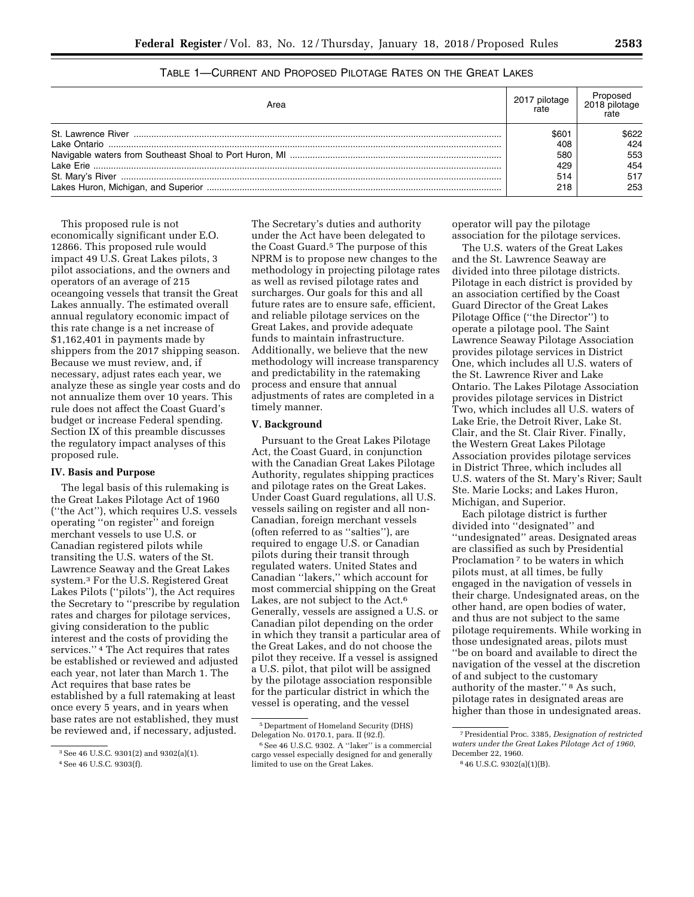| TABLE 1-CURRENT AND PROPOSED PILOTAGE RATES ON THE GREAT LAKES |
|----------------------------------------------------------------|
|----------------------------------------------------------------|

| Area | pilotage | 2018 pilotage |
|------|----------|---------------|
|      | \$601    | 6622          |
|      | 408      | 424           |
|      | 580      | 553           |
|      | 429      | 454           |
|      | 514      | 517           |
|      | 218      | 253           |

This proposed rule is not economically significant under E.O. 12866. This proposed rule would impact 49 U.S. Great Lakes pilots, 3 pilot associations, and the owners and operators of an average of 215 oceangoing vessels that transit the Great Lakes annually. The estimated overall annual regulatory economic impact of this rate change is a net increase of \$1,162,401 in payments made by shippers from the 2017 shipping season. Because we must review, and, if necessary, adjust rates each year, we analyze these as single year costs and do not annualize them over 10 years. This rule does not affect the Coast Guard's budget or increase Federal spending. Section IX of this preamble discusses the regulatory impact analyses of this proposed rule.

### **IV. Basis and Purpose**

The legal basis of this rulemaking is the Great Lakes Pilotage Act of 1960 (''the Act''), which requires U.S. vessels operating ''on register'' and foreign merchant vessels to use U.S. or Canadian registered pilots while transiting the U.S. waters of the St. Lawrence Seaway and the Great Lakes system.3 For the U.S. Registered Great Lakes Pilots (''pilots''), the Act requires the Secretary to ''prescribe by regulation rates and charges for pilotage services, giving consideration to the public interest and the costs of providing the services.'' 4 The Act requires that rates be established or reviewed and adjusted each year, not later than March 1. The Act requires that base rates be established by a full ratemaking at least once every 5 years, and in years when base rates are not established, they must be reviewed and, if necessary, adjusted.

The Secretary's duties and authority under the Act have been delegated to the Coast Guard.5 The purpose of this NPRM is to propose new changes to the methodology in projecting pilotage rates as well as revised pilotage rates and surcharges. Our goals for this and all future rates are to ensure safe, efficient, and reliable pilotage services on the Great Lakes, and provide adequate funds to maintain infrastructure. Additionally, we believe that the new methodology will increase transparency and predictability in the ratemaking process and ensure that annual adjustments of rates are completed in a timely manner.

### **V. Background**

Pursuant to the Great Lakes Pilotage Act, the Coast Guard, in conjunction with the Canadian Great Lakes Pilotage Authority, regulates shipping practices and pilotage rates on the Great Lakes. Under Coast Guard regulations, all U.S. vessels sailing on register and all non-Canadian, foreign merchant vessels (often referred to as ''salties''), are required to engage U.S. or Canadian pilots during their transit through regulated waters. United States and Canadian ''lakers,'' which account for most commercial shipping on the Great Lakes, are not subject to the Act.<sup>6</sup> Generally, vessels are assigned a U.S. or Canadian pilot depending on the order in which they transit a particular area of the Great Lakes, and do not choose the pilot they receive. If a vessel is assigned a U.S. pilot, that pilot will be assigned by the pilotage association responsible for the particular district in which the vessel is operating, and the vessel

operator will pay the pilotage association for the pilotage services.

The U.S. waters of the Great Lakes and the St. Lawrence Seaway are divided into three pilotage districts. Pilotage in each district is provided by an association certified by the Coast Guard Director of the Great Lakes Pilotage Office (''the Director'') to operate a pilotage pool. The Saint Lawrence Seaway Pilotage Association provides pilotage services in District One, which includes all U.S. waters of the St. Lawrence River and Lake Ontario. The Lakes Pilotage Association provides pilotage services in District Two, which includes all U.S. waters of Lake Erie, the Detroit River, Lake St. Clair, and the St. Clair River. Finally, the Western Great Lakes Pilotage Association provides pilotage services in District Three, which includes all U.S. waters of the St. Mary's River; Sault Ste. Marie Locks; and Lakes Huron, Michigan, and Superior.

Each pilotage district is further divided into ''designated'' and ''undesignated'' areas. Designated areas are classified as such by Presidential Proclamation<sup>7</sup> to be waters in which pilots must, at all times, be fully engaged in the navigation of vessels in their charge. Undesignated areas, on the other hand, are open bodies of water, and thus are not subject to the same pilotage requirements. While working in those undesignated areas, pilots must ''be on board and available to direct the navigation of the vessel at the discretion of and subject to the customary authority of the master.'' 8 As such, pilotage rates in designated areas are higher than those in undesignated areas.

<sup>3</sup>See 46 U.S.C. 9301(2) and 9302(a)(1).

<sup>4</sup>See 46 U.S.C. 9303(f).

<sup>5</sup> Department of Homeland Security (DHS) Delegation No. 0170.1, para. II (92.f).

<sup>6</sup>See 46 U.S.C. 9302. A ''laker'' is a commercial cargo vessel especially designed for and generally limited to use on the Great Lakes.

<sup>7</sup>Presidential Proc. 3385, *Designation of restricted waters under the Great Lakes Pilotage Act of 1960,*  December 22, 1960.

<sup>8</sup> 46 U.S.C. 9302(a)(1)(B).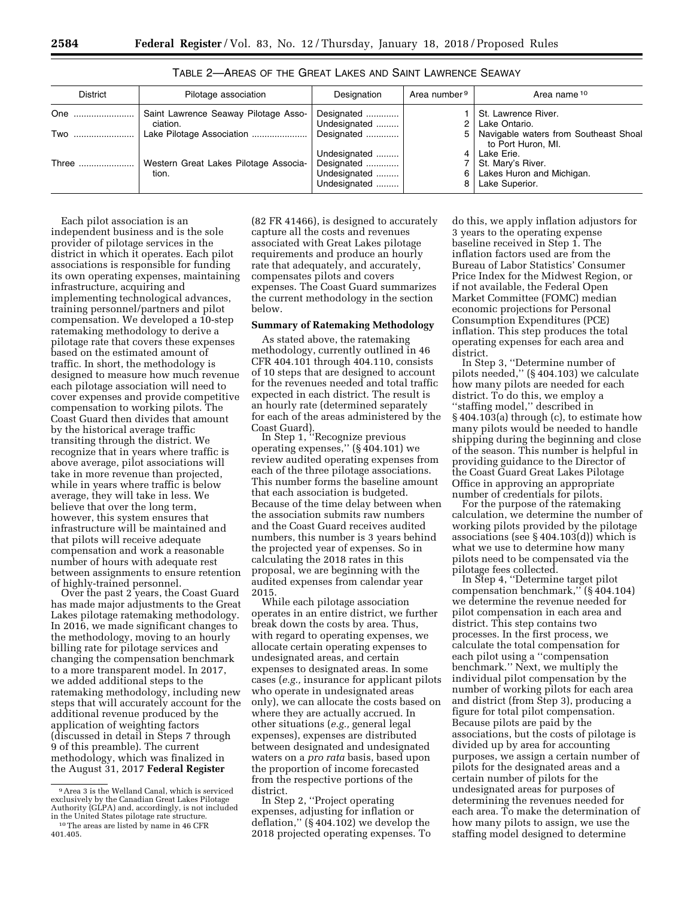| District | Pilotage association                  | Designation  | Area number <sup>9</sup> | Area name 10                          |
|----------|---------------------------------------|--------------|--------------------------|---------------------------------------|
| One      | Saint Lawrence Seaway Pilotage Asso-  | Designated   |                          | St. Lawrence River.                   |
|          | ciation.                              | Undesignated |                          | Lake Ontario.                         |
| Two      | Lake Pilotage Association             | Designated   | 5                        | Navigable waters from Southeast Shoal |
|          |                                       |              |                          | to Port Huron, MI.                    |
|          |                                       | Undesignated |                          | Lake Erie.                            |
| Three    | Western Great Lakes Pilotage Associa- | Designated   |                          | St. Mary's River.                     |
|          | tion.                                 | Undesignated | 6                        | Lakes Huron and Michigan.             |
|          |                                       | Undesignated |                          | Lake Superior.                        |

TABLE 2—AREAS OF THE GREAT LAKES AND SAINT LAWRENCE SEAWAY

Each pilot association is an independent business and is the sole provider of pilotage services in the district in which it operates. Each pilot associations is responsible for funding its own operating expenses, maintaining infrastructure, acquiring and implementing technological advances, training personnel/partners and pilot compensation. We developed a 10-step ratemaking methodology to derive a pilotage rate that covers these expenses based on the estimated amount of traffic. In short, the methodology is designed to measure how much revenue each pilotage association will need to cover expenses and provide competitive compensation to working pilots. The Coast Guard then divides that amount by the historical average traffic transiting through the district. We recognize that in years where traffic is above average, pilot associations will take in more revenue than projected, while in years where traffic is below average, they will take in less. We believe that over the long term, however, this system ensures that infrastructure will be maintained and that pilots will receive adequate compensation and work a reasonable number of hours with adequate rest between assignments to ensure retention<br>of highly-trained personnel.

Over the past 2 years, the Coast Guard has made major adjustments to the Great Lakes pilotage ratemaking methodology. In 2016, we made significant changes to the methodology, moving to an hourly billing rate for pilotage services and changing the compensation benchmark to a more transparent model. In 2017, we added additional steps to the ratemaking methodology, including new steps that will accurately account for the additional revenue produced by the application of weighting factors (discussed in detail in Steps 7 through 9 of this preamble). The current methodology, which was finalized in the August 31, 2017 **Federal Register** 

(82 FR 41466), is designed to accurately capture all the costs and revenues associated with Great Lakes pilotage requirements and produce an hourly rate that adequately, and accurately, compensates pilots and covers expenses. The Coast Guard summarizes the current methodology in the section below.

### **Summary of Ratemaking Methodology**

As stated above, the ratemaking methodology, currently outlined in 46 CFR 404.101 through 404.110, consists of 10 steps that are designed to account for the revenues needed and total traffic expected in each district. The result is an hourly rate (determined separately for each of the areas administered by the Coast Guard).

In Step 1, ''Recognize previous operating expenses,'' (§ 404.101) we review audited operating expenses from each of the three pilotage associations. This number forms the baseline amount that each association is budgeted. Because of the time delay between when the association submits raw numbers and the Coast Guard receives audited numbers, this number is 3 years behind the projected year of expenses. So in calculating the 2018 rates in this proposal, we are beginning with the audited expenses from calendar year 2015.

While each pilotage association operates in an entire district, we further break down the costs by area. Thus, with regard to operating expenses, we allocate certain operating expenses to undesignated areas, and certain expenses to designated areas. In some cases (*e.g.,* insurance for applicant pilots who operate in undesignated areas only), we can allocate the costs based on where they are actually accrued. In other situations (*e.g.,* general legal expenses), expenses are distributed between designated and undesignated waters on a *pro rata* basis, based upon the proportion of income forecasted from the respective portions of the district.

In Step 2, ''Project operating expenses, adjusting for inflation or deflation,'' (§ 404.102) we develop the 2018 projected operating expenses. To

do this, we apply inflation adjustors for 3 years to the operating expense baseline received in Step 1. The inflation factors used are from the Bureau of Labor Statistics' Consumer Price Index for the Midwest Region, or if not available, the Federal Open Market Committee (FOMC) median economic projections for Personal Consumption Expenditures (PCE) inflation. This step produces the total operating expenses for each area and district.

In Step 3, ''Determine number of pilots needed,'' (§ 404.103) we calculate how many pilots are needed for each district. To do this, we employ a ''staffing model,'' described in § 404.103(a) through (c), to estimate how many pilots would be needed to handle shipping during the beginning and close of the season. This number is helpful in providing guidance to the Director of the Coast Guard Great Lakes Pilotage Office in approving an appropriate<br>number of credentials for pilots.

For the purpose of the ratemaking calculation, we determine the number of working pilots provided by the pilotage associations (see § 404.103(d)) which is what we use to determine how many pilots need to be compensated via the pilotage fees collected. In Step 4, ''Determine target pilot

compensation benchmark,'' (§ 404.104) we determine the revenue needed for pilot compensation in each area and district. This step contains two processes. In the first process, we calculate the total compensation for each pilot using a ''compensation benchmark.'' Next, we multiply the individual pilot compensation by the number of working pilots for each area and district (from Step 3), producing a figure for total pilot compensation. Because pilots are paid by the associations, but the costs of pilotage is divided up by area for accounting purposes, we assign a certain number of pilots for the designated areas and a certain number of pilots for the undesignated areas for purposes of determining the revenues needed for each area. To make the determination of how many pilots to assign, we use the staffing model designed to determine

<sup>9</sup>Area 3 is the Welland Canal, which is serviced exclusively by the Canadian Great Lakes Pilotage Authority (GLPA) and, accordingly, is not included <sup>10</sup> The areas are listed by name in 46 CFR 401.405.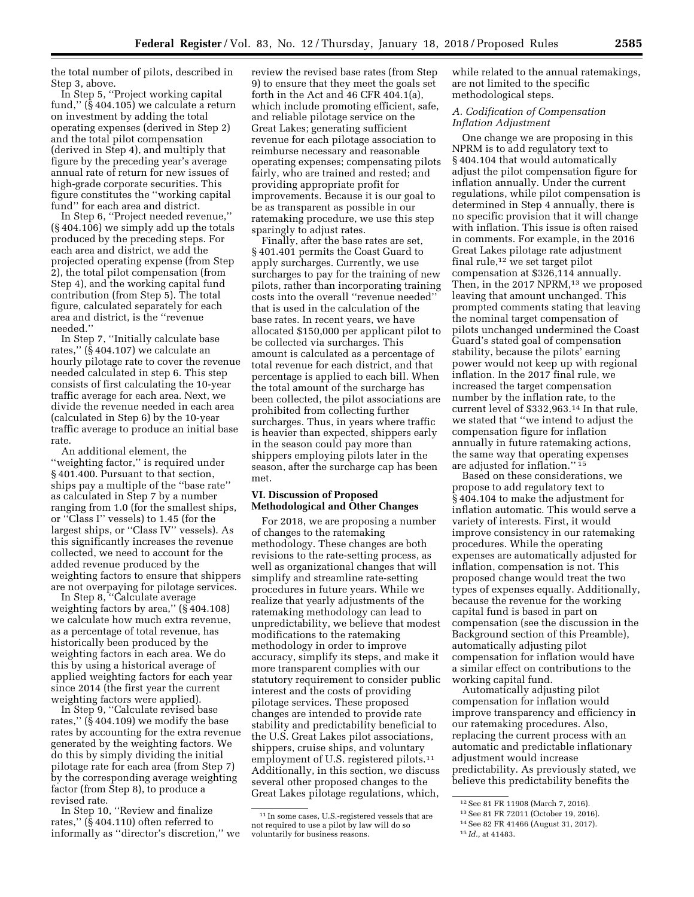the total number of pilots, described in Step 3, above.

In Step 5, ''Project working capital fund,'' (§ 404.105) we calculate a return on investment by adding the total operating expenses (derived in Step 2) and the total pilot compensation (derived in Step 4), and multiply that figure by the preceding year's average annual rate of return for new issues of high-grade corporate securities. This figure constitutes the ''working capital fund'' for each area and district.

In Step 6, ''Project needed revenue,'' (§ 404.106) we simply add up the totals produced by the preceding steps. For each area and district, we add the projected operating expense (from Step 2), the total pilot compensation (from Step 4), and the working capital fund contribution (from Step 5). The total figure, calculated separately for each area and district, is the ''revenue needed.''

In Step 7, ''Initially calculate base rates,'' (§ 404.107) we calculate an hourly pilotage rate to cover the revenue needed calculated in step 6. This step consists of first calculating the 10-year traffic average for each area. Next, we divide the revenue needed in each area (calculated in Step 6) by the 10-year traffic average to produce an initial base rate.

An additional element, the ''weighting factor,'' is required under § 401.400. Pursuant to that section, ships pay a multiple of the ''base rate'' as calculated in Step 7 by a number ranging from 1.0 (for the smallest ships, or ''Class I'' vessels) to 1.45 (for the largest ships, or ''Class IV'' vessels). As this significantly increases the revenue collected, we need to account for the added revenue produced by the weighting factors to ensure that shippers are not overpaying for pilotage services.

In Step 8, ''Calculate average weighting factors by area,'' (§ 404.108) we calculate how much extra revenue, as a percentage of total revenue, has historically been produced by the weighting factors in each area. We do this by using a historical average of applied weighting factors for each year since 2014 (the first year the current weighting factors were applied).

In Step 9, ''Calculate revised base rates,'' (§ 404.109) we modify the base rates by accounting for the extra revenue generated by the weighting factors. We do this by simply dividing the initial pilotage rate for each area (from Step 7) by the corresponding average weighting factor (from Step 8), to produce a revised rate.

In Step 10, ''Review and finalize rates,'' (§ 404.110) often referred to informally as ''director's discretion,'' we

review the revised base rates (from Step 9) to ensure that they meet the goals set forth in the Act and 46 CFR 404.1(a), which include promoting efficient, safe, and reliable pilotage service on the Great Lakes; generating sufficient revenue for each pilotage association to reimburse necessary and reasonable operating expenses; compensating pilots fairly, who are trained and rested; and providing appropriate profit for improvements. Because it is our goal to be as transparent as possible in our ratemaking procedure, we use this step sparingly to adjust rates.

Finally, after the base rates are set, § 401.401 permits the Coast Guard to apply surcharges. Currently, we use surcharges to pay for the training of new pilots, rather than incorporating training costs into the overall ''revenue needed'' that is used in the calculation of the base rates. In recent years, we have allocated \$150,000 per applicant pilot to be collected via surcharges. This amount is calculated as a percentage of total revenue for each district, and that percentage is applied to each bill. When the total amount of the surcharge has been collected, the pilot associations are prohibited from collecting further surcharges. Thus, in years where traffic is heavier than expected, shippers early in the season could pay more than shippers employing pilots later in the season, after the surcharge cap has been met.

### **VI. Discussion of Proposed Methodological and Other Changes**

For 2018, we are proposing a number of changes to the ratemaking methodology. These changes are both revisions to the rate-setting process, as well as organizational changes that will simplify and streamline rate-setting procedures in future years. While we realize that yearly adjustments of the ratemaking methodology can lead to unpredictability, we believe that modest modifications to the ratemaking methodology in order to improve accuracy, simplify its steps, and make it more transparent complies with our statutory requirement to consider public interest and the costs of providing pilotage services. These proposed changes are intended to provide rate stability and predictability beneficial to the U.S. Great Lakes pilot associations, shippers, cruise ships, and voluntary employment of U.S. registered pilots.<sup>11</sup> Additionally, in this section, we discuss several other proposed changes to the Great Lakes pilotage regulations, which,

while related to the annual ratemakings, are not limited to the specific methodological steps.

### *A. Codification of Compensation Inflation Adjustment*

One change we are proposing in this NPRM is to add regulatory text to § 404.104 that would automatically adjust the pilot compensation figure for inflation annually. Under the current regulations, while pilot compensation is determined in Step 4 annually, there is no specific provision that it will change with inflation. This issue is often raised in comments. For example, in the 2016 Great Lakes pilotage rate adjustment final rule,12 we set target pilot compensation at \$326,114 annually. Then, in the 2017 NPRM, $13$  we proposed leaving that amount unchanged. This prompted comments stating that leaving the nominal target compensation of pilots unchanged undermined the Coast Guard's stated goal of compensation stability, because the pilots' earning power would not keep up with regional inflation. In the 2017 final rule, we increased the target compensation number by the inflation rate, to the current level of \$332,963.14 In that rule, we stated that ''we intend to adjust the compensation figure for inflation annually in future ratemaking actions, the same way that operating expenses are adjusted for inflation.'' 15

Based on these considerations, we propose to add regulatory text to § 404.104 to make the adjustment for inflation automatic. This would serve a variety of interests. First, it would improve consistency in our ratemaking procedures. While the operating expenses are automatically adjusted for inflation, compensation is not. This proposed change would treat the two types of expenses equally. Additionally, because the revenue for the working capital fund is based in part on compensation (see the discussion in the Background section of this Preamble), automatically adjusting pilot compensation for inflation would have a similar effect on contributions to the working capital fund.

Automatically adjusting pilot compensation for inflation would improve transparency and efficiency in our ratemaking procedures. Also, replacing the current process with an automatic and predictable inflationary adjustment would increase predictability. As previously stated, we believe this predictability benefits the

<sup>11</sup> In some cases, U.S.-registered vessels that are not required to use a pilot by law will do so voluntarily for business reasons.

<sup>12</sup>See 81 FR 11908 (March 7, 2016).

<sup>13</sup>See 81 FR 72011 (October 19, 2016).

<sup>14</sup>See 82 FR 41466 (August 31, 2017).

<sup>15</sup> *Id.,* at 41483.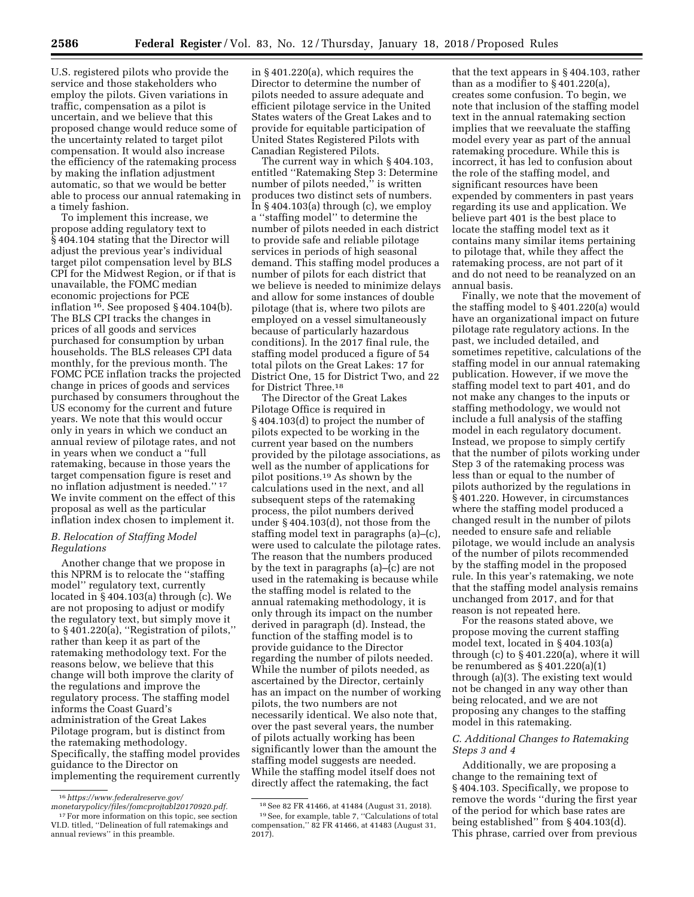U.S. registered pilots who provide the service and those stakeholders who employ the pilots. Given variations in traffic, compensation as a pilot is uncertain, and we believe that this proposed change would reduce some of the uncertainty related to target pilot compensation. It would also increase the efficiency of the ratemaking process by making the inflation adjustment automatic, so that we would be better able to process our annual ratemaking in a timely fashion.

To implement this increase, we propose adding regulatory text to § 404.104 stating that the Director will adjust the previous year's individual target pilot compensation level by BLS CPI for the Midwest Region, or if that is unavailable, the FOMC median economic projections for PCE inflation 16. See proposed § 404.104(b). The BLS CPI tracks the changes in prices of all goods and services purchased for consumption by urban households. The BLS releases CPI data monthly, for the previous month. The FOMC PCE inflation tracks the projected change in prices of goods and services purchased by consumers throughout the US economy for the current and future years. We note that this would occur only in years in which we conduct an annual review of pilotage rates, and not in years when we conduct a ''full ratemaking, because in those years the target compensation figure is reset and no inflation adjustment is needed.'' 17 We invite comment on the effect of this proposal as well as the particular inflation index chosen to implement it.

### *B. Relocation of Staffing Model Regulations*

Another change that we propose in this NPRM is to relocate the ''staffing model'' regulatory text, currently located in § 404.103(a) through (c). We are not proposing to adjust or modify the regulatory text, but simply move it to § 401.220(a), ''Registration of pilots,'' rather than keep it as part of the ratemaking methodology text. For the reasons below, we believe that this change will both improve the clarity of the regulations and improve the regulatory process. The staffing model informs the Coast Guard's administration of the Great Lakes Pilotage program, but is distinct from the ratemaking methodology. Specifically, the staffing model provides guidance to the Director on implementing the requirement currently in § 401.220(a), which requires the Director to determine the number of pilots needed to assure adequate and efficient pilotage service in the United States waters of the Great Lakes and to provide for equitable participation of United States Registered Pilots with Canadian Registered Pilots.

The current way in which § 404.103, entitled ''Ratemaking Step 3: Determine number of pilots needed,'' is written produces two distinct sets of numbers. In  $\S 404.103(a)$  through (c), we employ a ''staffing model'' to determine the number of pilots needed in each district to provide safe and reliable pilotage services in periods of high seasonal demand. This staffing model produces a number of pilots for each district that we believe is needed to minimize delays and allow for some instances of double pilotage (that is, where two pilots are employed on a vessel simultaneously because of particularly hazardous conditions). In the 2017 final rule, the staffing model produced a figure of 54 total pilots on the Great Lakes: 17 for District One, 15 for District Two, and 22 for District Three.18

The Director of the Great Lakes Pilotage Office is required in § 404.103(d) to project the number of pilots expected to be working in the current year based on the numbers provided by the pilotage associations, as well as the number of applications for pilot positions.19 As shown by the calculations used in the next, and all subsequent steps of the ratemaking process, the pilot numbers derived under § 404.103(d), not those from the staffing model text in paragraphs (a)–(c), were used to calculate the pilotage rates. The reason that the numbers produced by the text in paragraphs (a)–(c) are not used in the ratemaking is because while the staffing model is related to the annual ratemaking methodology, it is only through its impact on the number derived in paragraph (d). Instead, the function of the staffing model is to provide guidance to the Director regarding the number of pilots needed. While the number of pilots needed, as ascertained by the Director, certainly has an impact on the number of working pilots, the two numbers are not necessarily identical. We also note that, over the past several years, the number of pilots actually working has been significantly lower than the amount the staffing model suggests are needed. While the staffing model itself does not directly affect the ratemaking, the fact

that the text appears in § 404.103, rather than as a modifier to § 401.220(a), creates some confusion. To begin, we note that inclusion of the staffing model text in the annual ratemaking section implies that we reevaluate the staffing model every year as part of the annual ratemaking procedure. While this is incorrect, it has led to confusion about the role of the staffing model, and significant resources have been expended by commenters in past years regarding its use and application. We believe part 401 is the best place to locate the staffing model text as it contains many similar items pertaining to pilotage that, while they affect the ratemaking process, are not part of it and do not need to be reanalyzed on an annual basis.

Finally, we note that the movement of the staffing model to § 401.220(a) would have an organizational impact on future pilotage rate regulatory actions. In the past, we included detailed, and sometimes repetitive, calculations of the staffing model in our annual ratemaking publication. However, if we move the staffing model text to part 401, and do not make any changes to the inputs or staffing methodology, we would not include a full analysis of the staffing model in each regulatory document. Instead, we propose to simply certify that the number of pilots working under Step 3 of the ratemaking process was less than or equal to the number of pilots authorized by the regulations in § 401.220. However, in circumstances where the staffing model produced a changed result in the number of pilots needed to ensure safe and reliable pilotage, we would include an analysis of the number of pilots recommended by the staffing model in the proposed rule. In this year's ratemaking, we note that the staffing model analysis remains unchanged from 2017, and for that reason is not repeated here.

For the reasons stated above, we propose moving the current staffing model text, located in § 404.103(a) through (c) to § 401.220(a), where it will be renumbered as  $\S 401.220(a)(1)$ through (a)(3). The existing text would not be changed in any way other than being relocated, and we are not proposing any changes to the staffing model in this ratemaking.

# *C. Additional Changes to Ratemaking Steps 3 and 4*

Additionally, we are proposing a change to the remaining text of § 404.103. Specifically, we propose to remove the words ''during the first year of the period for which base rates are being established'' from § 404.103(d). This phrase, carried over from previous

<sup>16</sup>*[https://www.federalreserve.gov/](https://www.federalreserve.gov/monetarypolicy/files/fomcprojtabl20170920.pdf)* 

*[monetarypolicy/files/fomcprojtabl20170920.pdf.](https://www.federalreserve.gov/monetarypolicy/files/fomcprojtabl20170920.pdf)* <sup>17</sup> For more information on this topic, see section VI.D. titled, ''Delineation of full ratemakings and annual reviews'' in this preamble.

<sup>18</sup>See 82 FR 41466, at 41484 (August 31, 2018). 19See, for example, table 7, ''Calculations of total compensation,'' 82 FR 41466, at 41483 (August 31,  $201\overline{7}$ ).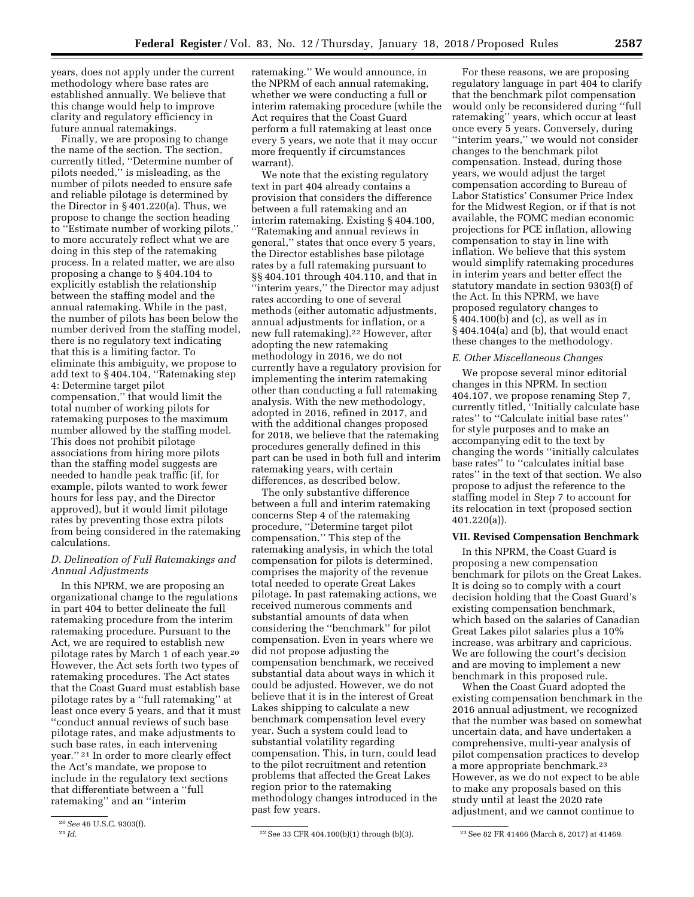years, does not apply under the current methodology where base rates are established annually. We believe that this change would help to improve clarity and regulatory efficiency in future annual ratemakings.

Finally, we are proposing to change the name of the section. The section, currently titled, ''Determine number of pilots needed,'' is misleading, as the number of pilots needed to ensure safe and reliable pilotage is determined by the Director in § 401.220(a). Thus, we propose to change the section heading to ''Estimate number of working pilots,'' to more accurately reflect what we are doing in this step of the ratemaking process. In a related matter, we are also proposing a change to § 404.104 to explicitly establish the relationship between the staffing model and the annual ratemaking. While in the past, the number of pilots has been below the number derived from the staffing model, there is no regulatory text indicating that this is a limiting factor. To eliminate this ambiguity, we propose to add text to § 404.104, ''Ratemaking step 4: Determine target pilot compensation,'' that would limit the total number of working pilots for ratemaking purposes to the maximum number allowed by the staffing model. This does not prohibit pilotage associations from hiring more pilots than the staffing model suggests are needed to handle peak traffic (if, for example, pilots wanted to work fewer hours for less pay, and the Director approved), but it would limit pilotage rates by preventing those extra pilots from being considered in the ratemaking calculations.

# *D. Delineation of Full Ratemakings and Annual Adjustments*

In this NPRM, we are proposing an organizational change to the regulations in part 404 to better delineate the full ratemaking procedure from the interim ratemaking procedure. Pursuant to the Act, we are required to establish new pilotage rates by March 1 of each year.20 However, the Act sets forth two types of ratemaking procedures. The Act states that the Coast Guard must establish base pilotage rates by a ''full ratemaking'' at least once every 5 years, and that it must ''conduct annual reviews of such base pilotage rates, and make adjustments to such base rates, in each intervening year.'' 21 In order to more clearly effect the Act's mandate, we propose to include in the regulatory text sections that differentiate between a ''full ratemaking'' and an ''interim

ratemaking.'' We would announce, in the NPRM of each annual ratemaking, whether we were conducting a full or interim ratemaking procedure (while the Act requires that the Coast Guard perform a full ratemaking at least once every 5 years, we note that it may occur more frequently if circumstances warrant).

We note that the existing regulatory text in part 404 already contains a provision that considers the difference between a full ratemaking and an interim ratemaking. Existing § 404.100, ''Ratemaking and annual reviews in general,'' states that once every 5 years, the Director establishes base pilotage rates by a full ratemaking pursuant to §§ 404.101 through 404.110, and that in ''interim years,'' the Director may adjust rates according to one of several methods (either automatic adjustments, annual adjustments for inflation, or a new full ratemaking).22 However, after adopting the new ratemaking methodology in 2016, we do not currently have a regulatory provision for implementing the interim ratemaking other than conducting a full ratemaking analysis. With the new methodology, adopted in 2016, refined in 2017, and with the additional changes proposed for 2018, we believe that the ratemaking procedures generally defined in this part can be used in both full and interim ratemaking years, with certain differences, as described below.

The only substantive difference between a full and interim ratemaking concerns Step 4 of the ratemaking procedure, ''Determine target pilot compensation.'' This step of the ratemaking analysis, in which the total compensation for pilots is determined, comprises the majority of the revenue total needed to operate Great Lakes pilotage. In past ratemaking actions, we received numerous comments and substantial amounts of data when considering the ''benchmark'' for pilot compensation. Even in years where we did not propose adjusting the compensation benchmark, we received substantial data about ways in which it could be adjusted. However, we do not believe that it is in the interest of Great Lakes shipping to calculate a new benchmark compensation level every year. Such a system could lead to substantial volatility regarding compensation. This, in turn, could lead to the pilot recruitment and retention problems that affected the Great Lakes region prior to the ratemaking methodology changes introduced in the past few years.

For these reasons, we are proposing regulatory language in part 404 to clarify that the benchmark pilot compensation would only be reconsidered during ''full ratemaking'' years, which occur at least once every 5 years. Conversely, during ''interim years,'' we would not consider changes to the benchmark pilot compensation. Instead, during those years, we would adjust the target compensation according to Bureau of Labor Statistics' Consumer Price Index for the Midwest Region, or if that is not available, the FOMC median economic projections for PCE inflation, allowing compensation to stay in line with inflation. We believe that this system would simplify ratemaking procedures in interim years and better effect the statutory mandate in section 9303(f) of the Act. In this NPRM, we have proposed regulatory changes to § 404.100(b) and (c), as well as in § 404.104(a) and (b), that would enact these changes to the methodology.

#### *E. Other Miscellaneous Changes*

We propose several minor editorial changes in this NPRM. In section 404.107, we propose renaming Step 7, currently titled, ''Initially calculate base rates'' to ''Calculate initial base rates'' for style purposes and to make an accompanying edit to the text by changing the words ''initially calculates base rates'' to ''calculates initial base rates'' in the text of that section. We also propose to adjust the reference to the staffing model in Step 7 to account for its relocation in text (proposed section 401.220(a)).

#### **VII. Revised Compensation Benchmark**

In this NPRM, the Coast Guard is proposing a new compensation benchmark for pilots on the Great Lakes. It is doing so to comply with a court decision holding that the Coast Guard's existing compensation benchmark, which based on the salaries of Canadian Great Lakes pilot salaries plus a 10% increase, was arbitrary and capricious. We are following the court's decision and are moving to implement a new benchmark in this proposed rule.

When the Coast Guard adopted the existing compensation benchmark in the 2016 annual adjustment, we recognized that the number was based on somewhat uncertain data, and have undertaken a comprehensive, multi-year analysis of pilot compensation practices to develop a more appropriate benchmark.23 However, as we do not expect to be able to make any proposals based on this study until at least the 2020 rate adjustment, and we cannot continue to

<sup>20</sup>*See* 46 U.S.C. 9303(f).

<sup>&</sup>lt;sup>22</sup> See 33 CFR 404.100(b)(1) through (b)(3). <sup>23</sup> See 82 FR 41466 (March 8, 2017) at 41469.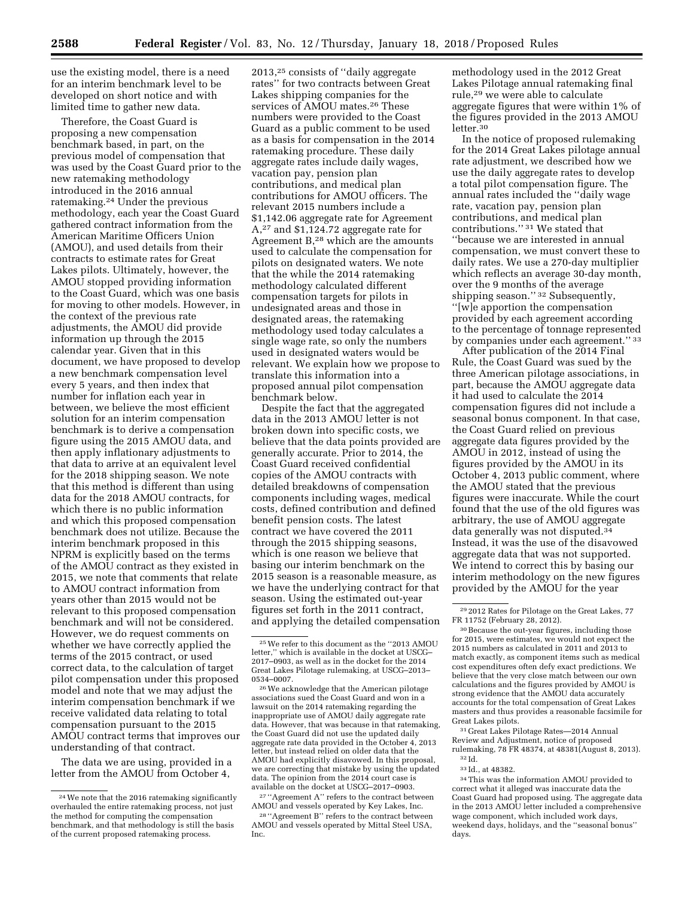use the existing model, there is a need for an interim benchmark level to be developed on short notice and with limited time to gather new data.

Therefore, the Coast Guard is proposing a new compensation benchmark based, in part, on the previous model of compensation that was used by the Coast Guard prior to the new ratemaking methodology introduced in the 2016 annual ratemaking.24 Under the previous methodology, each year the Coast Guard gathered contract information from the American Maritime Officers Union (AMOU), and used details from their contracts to estimate rates for Great Lakes pilots. Ultimately, however, the AMOU stopped providing information to the Coast Guard, which was one basis for moving to other models. However, in the context of the previous rate adjustments, the AMOU did provide information up through the 2015 calendar year. Given that in this document, we have proposed to develop a new benchmark compensation level every 5 years, and then index that number for inflation each year in between, we believe the most efficient solution for an interim compensation benchmark is to derive a compensation figure using the 2015 AMOU data, and then apply inflationary adjustments to that data to arrive at an equivalent level for the 2018 shipping season. We note that this method is different than using data for the 2018 AMOU contracts, for which there is no public information and which this proposed compensation benchmark does not utilize. Because the interim benchmark proposed in this NPRM is explicitly based on the terms of the AMOU contract as they existed in 2015, we note that comments that relate to AMOU contract information from years other than 2015 would not be relevant to this proposed compensation benchmark and will not be considered. However, we do request comments on whether we have correctly applied the terms of the 2015 contract, or used correct data, to the calculation of target pilot compensation under this proposed model and note that we may adjust the interim compensation benchmark if we receive validated data relating to total compensation pursuant to the 2015 AMOU contract terms that improves our understanding of that contract.

The data we are using, provided in a letter from the AMOU from October 4,

2013,25 consists of ''daily aggregate rates'' for two contracts between Great Lakes shipping companies for the services of AMOU mates.26 These numbers were provided to the Coast Guard as a public comment to be used as a basis for compensation in the 2014 ratemaking procedure. These daily aggregate rates include daily wages, vacation pay, pension plan contributions, and medical plan contributions for AMOU officers. The relevant 2015 numbers include a \$1,142.06 aggregate rate for Agreement A,27 and \$1,124.72 aggregate rate for Agreement B,28 which are the amounts used to calculate the compensation for pilots on designated waters. We note that the while the 2014 ratemaking methodology calculated different compensation targets for pilots in undesignated areas and those in designated areas, the ratemaking methodology used today calculates a single wage rate, so only the numbers used in designated waters would be relevant. We explain how we propose to translate this information into a proposed annual pilot compensation benchmark below.

Despite the fact that the aggregated data in the 2013 AMOU letter is not broken down into specific costs, we believe that the data points provided are generally accurate. Prior to 2014, the Coast Guard received confidential copies of the AMOU contracts with detailed breakdowns of compensation components including wages, medical costs, defined contribution and defined benefit pension costs. The latest contract we have covered the 2011 through the 2015 shipping seasons, which is one reason we believe that basing our interim benchmark on the 2015 season is a reasonable measure, as we have the underlying contract for that season. Using the estimated out-year figures set forth in the 2011 contract, and applying the detailed compensation

<sup>26</sup> We acknowledge that the American pilotage associations sued the Coast Guard and won in a lawsuit on the 2014 ratemaking regarding the inappropriate use of AMOU daily aggregate rate data. However, that was because in that ratemaking, the Coast Guard did not use the updated daily aggregate rate data provided in the October 4, 2013 letter, but instead relied on older data that the AMOU had explicitly disavowed. In this proposal, we are correcting that mistake by using the updated data. The opinion from the 2014 court case is available on the docket at USCG–2017–0903.

27 ''Agreement A'' refers to the contract between AMOU and vessels operated by Key Lakes, Inc.

28 ''Agreement B'' refers to the contract between AMOU and vessels operated by Mittal Steel USA, Inc.

methodology used in the 2012 Great Lakes Pilotage annual ratemaking final rule,29 we were able to calculate aggregate figures that were within 1% of the figures provided in the 2013 AMOU letter.<sup>30</sup>

In the notice of proposed rulemaking for the 2014 Great Lakes pilotage annual rate adjustment, we described how we use the daily aggregate rates to develop a total pilot compensation figure. The annual rates included the ''daily wage rate, vacation pay, pension plan contributions, and medical plan contributions.'' 31 We stated that ''because we are interested in annual compensation, we must convert these to daily rates. We use a 270-day multiplier which reflects an average 30-day month, over the 9 months of the average shipping season.'' 32 Subsequently, ''[w]e apportion the compensation provided by each agreement according to the percentage of tonnage represented by companies under each agreement.'' 33

After publication of the 2014 Final Rule, the Coast Guard was sued by the three American pilotage associations, in part, because the AMOU aggregate data it had used to calculate the 2014 compensation figures did not include a seasonal bonus component. In that case, the Coast Guard relied on previous aggregate data figures provided by the AMOU in 2012, instead of using the figures provided by the AMOU in its October 4, 2013 public comment, where the AMOU stated that the previous figures were inaccurate. While the court found that the use of the old figures was arbitrary, the use of AMOU aggregate data generally was not disputed.34 Instead, it was the use of the disavowed aggregate data that was not supported. We intend to correct this by basing our interim methodology on the new figures provided by the AMOU for the year

31 Great Lakes Pilotage Rates—2014 Annual Review and Adjustment, notice of proposed rulemaking, 78 FR 48374, at 48381(August 8, 2013). 32 Id.

<sup>24</sup>We note that the 2016 ratemaking significantly overhauled the entire ratemaking process, not just the method for computing the compensation benchmark, and that methodology is still the basis of the current proposed ratemaking process.

<sup>25</sup>We refer to this document as the ''2013 AMOU letter,'' which is available in the docket at USCG– 2017–0903, as well as in the docket for the 2014 Great Lakes Pilotage rulemaking, at USCG–2013–

 $^{\rm 29}$  2012 Rates for Pilotage on the Great Lakes, 77 FR 11752 (February 28, 2012).

<sup>30</sup>Because the out-year figures, including those for 2015, were estimates, we would not expect the 2015 numbers as calculated in 2011 and 2013 to match exactly, as component items such as medical cost expenditures often defy exact predictions. We believe that the very close match between our own calculations and the figures provided by AMOU is strong evidence that the AMOU data accurately accounts for the total compensation of Great Lakes masters and thus provides a reasonable facsimile for Great Lakes pilots.

<sup>33</sup> Id., at 48382.

<sup>34</sup>This was the information AMOU provided to correct what it alleged was inaccurate data the Coast Guard had proposed using. The aggregate data in the 2013 AMOU letter included a comprehensive wage component, which included work days, weekend days, holidays, and the ''seasonal bonus'' days.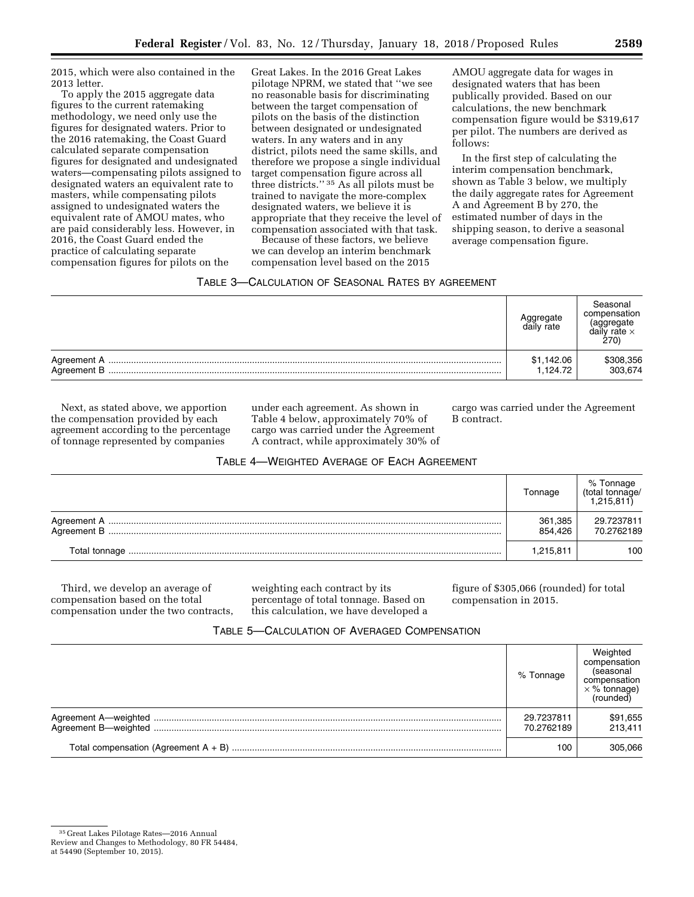2015, which were also contained in the 2013 letter.

To apply the 2015 aggregate data figures to the current ratemaking methodology, we need only use the figures for designated waters. Prior to the 2016 ratemaking, the Coast Guard calculated separate compensation figures for designated and undesignated waters—compensating pilots assigned to designated waters an equivalent rate to masters, while compensating pilots assigned to undesignated waters the equivalent rate of AMOU mates, who are paid considerably less. However, in 2016, the Coast Guard ended the practice of calculating separate compensation figures for pilots on the

Great Lakes. In the 2016 Great Lakes pilotage NPRM, we stated that ''we see no reasonable basis for discriminating between the target compensation of pilots on the basis of the distinction between designated or undesignated waters. In any waters and in any district, pilots need the same skills, and therefore we propose a single individual target compensation figure across all three districts.'' 35 As all pilots must be trained to navigate the more-complex designated waters, we believe it is appropriate that they receive the level of compensation associated with that task.

Because of these factors, we believe we can develop an interim benchmark compensation level based on the 2015

AMOU aggregate data for wages in designated waters that has been publically provided. Based on our calculations, the new benchmark compensation figure would be \$319,617 per pilot. The numbers are derived as follows:

In the first step of calculating the interim compensation benchmark, shown as Table 3 below, we multiply the daily aggregate rates for Agreement A and Agreement B by 270, the estimated number of days in the shipping season, to derive a seasonal average compensation figure.

### TABLE 3—CALCULATION OF SEASONAL RATES BY AGREEMENT

|                                     | ∖ggregate<br>daily rate | Seasonal<br>compensation<br>aggregate<br>daily rate $\times$<br>270) |
|-------------------------------------|-------------------------|----------------------------------------------------------------------|
| ${\bf Agreement~A}~$<br>Agreement B | \$1,142.06<br>1.124.72  | \$308,356<br>303,674                                                 |

Next, as stated above, we apportion the compensation provided by each agreement according to the percentage of tonnage represented by companies

under each agreement. As shown in Table 4 below, approximately 70% of cargo was carried under the Agreement A contract, while approximately 30% of cargo was carried under the Agreement B contract.

# TABLE 4—WEIGHTED AVERAGE OF EACH AGREEMENT

|               | Tonnage            | % Tonnage<br>/total tonnage)<br>(1,215,811) |
|---------------|--------------------|---------------------------------------------|
|               | 361,385<br>854.426 | 29.7237811<br>70.2762189                    |
| Total tonnage | 1,215,811          | 100                                         |

Third, we develop an average of compensation based on the total compensation under the two contracts, weighting each contract by its percentage of total tonnage. Based on this calculation, we have developed a figure of \$305,066 (rounded) for total compensation in 2015.

### TABLE 5—CALCULATION OF AVERAGED COMPENSATION

| % Tonnage                | Weighted<br>compensation<br>(seasonal<br>compensation<br>$\times$ % tonnage)<br>(rounded) |
|--------------------------|-------------------------------------------------------------------------------------------|
| 29.7237811<br>70.2762189 | \$91,655<br>213.411                                                                       |
| 100                      | 305.066                                                                                   |

<sup>35</sup> Great Lakes Pilotage Rates—2016 Annual Review and Changes to Methodology, 80 FR 54484,

at 54490 (September 10, 2015).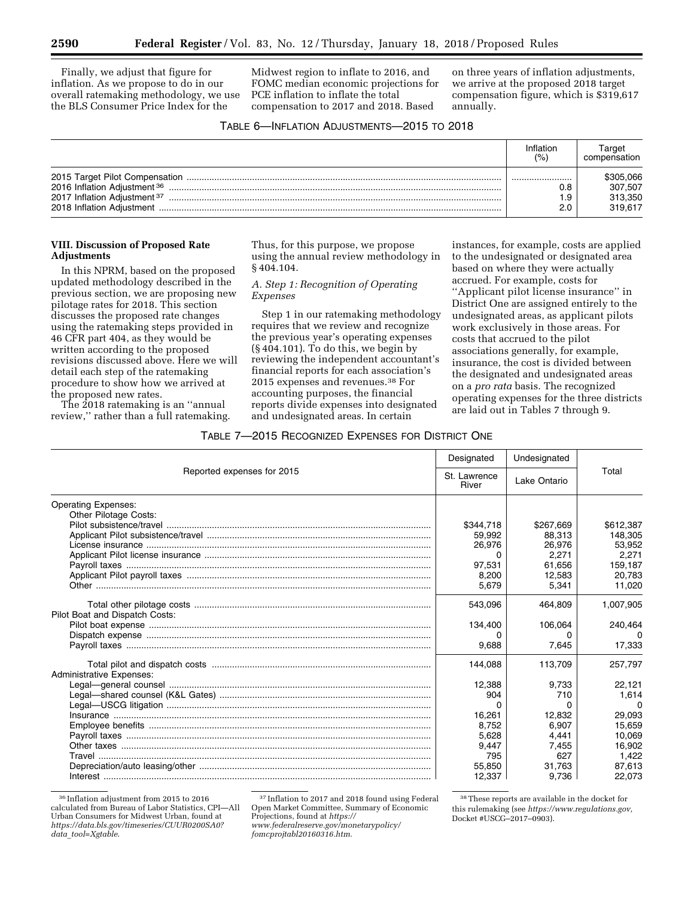Finally, we adjust that figure for inflation. As we propose to do in our overall ratemaking methodology, we use the BLS Consumer Price Index for the

Midwest region to inflate to 2016, and FOMC median economic projections for PCE inflation to inflate the total compensation to 2017 and 2018. Based

on three years of inflation adjustments, we arrive at the proposed 2018 target compensation figure, which is \$319,617 annually.

### TABLE 6—INFLATION ADJUSTMENTS—2015 TO 2018

|                                                                                           | Inflation<br>(9/0) | Target<br>compensation                     |
|-------------------------------------------------------------------------------------------|--------------------|--------------------------------------------|
| 2016 Inflation Adjustment 36<br>2017 Inflation Adjustment 37<br>2018 Inflation Adjustment | <br>J.8<br>.9      | \$305,066<br>307.507<br>313.350<br>319.617 |

### **VIII. Discussion of Proposed Rate Adjustments**

In this NPRM, based on the proposed updated methodology described in the previous section, we are proposing new pilotage rates for 2018. This section discusses the proposed rate changes using the ratemaking steps provided in 46 CFR part 404, as they would be written according to the proposed revisions discussed above. Here we will detail each step of the ratemaking procedure to show how we arrived at the proposed new rates.

The 2018 ratemaking is an ''annual review,'' rather than a full ratemaking. Thus, for this purpose, we propose using the annual review methodology in § 404.104.

### *A. Step 1: Recognition of Operating Expenses*

Step 1 in our ratemaking methodology requires that we review and recognize the previous year's operating expenses (§ 404.101). To do this, we begin by reviewing the independent accountant's financial reports for each association's 2015 expenses and revenues.38 For accounting purposes, the financial reports divide expenses into designated and undesignated areas. In certain

instances, for example, costs are applied to the undesignated or designated area based on where they were actually accrued. For example, costs for ''Applicant pilot license insurance'' in District One are assigned entirely to the undesignated areas, as applicant pilots work exclusively in those areas. For costs that accrued to the pilot associations generally, for example, insurance, the cost is divided between the designated and undesignated areas on a *pro rata* basis. The recognized operating expenses for the three districts are laid out in Tables 7 through 9.

### TABLE 7—2015 RECOGNIZED EXPENSES FOR DISTRICT ONE

|                                 | Designated            | Undesignated |           |
|---------------------------------|-----------------------|--------------|-----------|
| Reported expenses for 2015      | St. Lawrence<br>River | Lake Ontario | Total     |
| <b>Operating Expenses:</b>      |                       |              |           |
| Other Pilotage Costs:           |                       |              |           |
|                                 | \$344,718             | \$267.669    | \$612,387 |
|                                 | 59.992                | 88.313       | 148,305   |
|                                 | 26,976                | 26.976       | 53,952    |
|                                 | 0                     | 2.271        | 2,271     |
|                                 | 97,531                | 61.656       | 159,187   |
|                                 | 8.200                 | 12.583       | 20.783    |
|                                 | 5,679                 | 5.341        | 11,020    |
| Pilot Boat and Dispatch Costs:  | 543,096               | 464,809      | 1,007,905 |
|                                 | 134,400               | 106,064      | 240,464   |
|                                 | 0                     |              |           |
|                                 | 9,688                 | 7,645        | 17,333    |
| <b>Administrative Expenses:</b> | 144,088               | 113,709      | 257,797   |
|                                 | 12,388                | 9,733        | 22,121    |
|                                 | 904                   | 710          | 1.614     |
|                                 | 0                     | O            | n         |
|                                 | 16,261                | 12.832       | 29.093    |
|                                 | 8.752                 | 6.907        | 15,659    |
|                                 | 5,628                 | 4,441        | 10,069    |
|                                 | 9.447                 | 7.455        | 16.902    |
|                                 | 795                   | 627          | 1,422     |
|                                 | 55,850                | 31.763       | 87,613    |
|                                 | 12,337                | 9,736        | 22,073    |

36 Inflation adjustment from 2015 to 2016 calculated from Bureau of Labor Statistics, CPI—All Urban Consumers for Midwest Urban, found at *[https://data.bls.gov/timeseries/CUUR0200SA0?](https://data.bls.gov/timeseries/CUUR0200SA0?data_tool=Xgtable) data*\_*[tool=Xgtable](https://data.bls.gov/timeseries/CUUR0200SA0?data_tool=Xgtable)*.

*[www.federalreserve.gov/monetarypolicy/](https://www.federalreserve.gov/monetarypolicy/fomcprojtabl20160316.htm)  [fomcprojtabl20160316.htm](https://www.federalreserve.gov/monetarypolicy/fomcprojtabl20160316.htm)*.

38These reports are available in the docket for this rulemaking (see *[https://www.regulations.gov,](https://www.regulations.gov)*  Docket #USCG–2017–0903).

<sup>37</sup> Inflation to 2017 and 2018 found using Federal Open Market Committee, Summary of Economic Projections, found at *[https://](https://www.federalreserve.gov/monetarypolicy/fomcprojtabl20160316.htm)*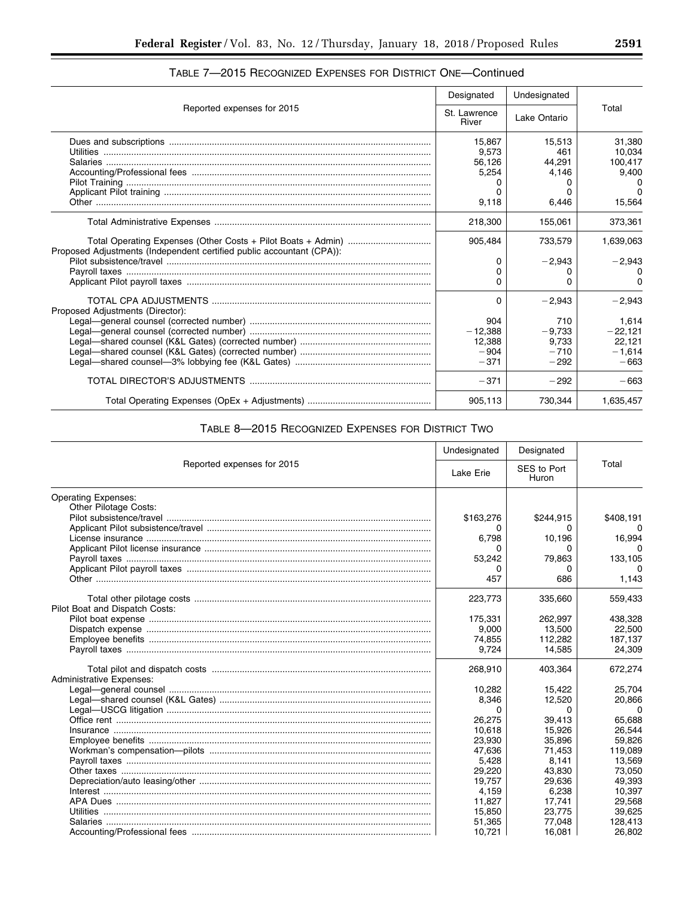|                                                                       | Designated            | Undesignated |           |
|-----------------------------------------------------------------------|-----------------------|--------------|-----------|
| Reported expenses for 2015                                            | St. Lawrence<br>River | Lake Ontario | Total     |
|                                                                       | 15.867                | 15.513       | 31.380    |
|                                                                       | 9.573                 | 461          | 10.034    |
|                                                                       | 56,126                | 44,291       | 100,417   |
|                                                                       | 5,254                 | 4.146        | 9,400     |
|                                                                       | 0                     |              |           |
|                                                                       | 0                     |              | n         |
|                                                                       | 9,118                 | 6,446        | 15,564    |
|                                                                       | 218,300               | 155,061      | 373,361   |
| Proposed Adjustments (Independent certified public accountant (CPA)): | 905,484               | 733,579      | 1,639,063 |
|                                                                       | 0                     | $-2,943$     | $-2,943$  |
|                                                                       | 0                     |              |           |
|                                                                       | 0                     | n            | 0         |
| Proposed Adjustments (Director):                                      | 0                     | $-2.943$     | $-2,943$  |
|                                                                       | 904                   | 710          | 1.614     |
|                                                                       | $-12,388$             | $-9,733$     | $-22,121$ |
|                                                                       | 12.388                | 9.733        | 22.121    |
|                                                                       | $-904$                | $-710$       | $-1.614$  |
|                                                                       | $-371$                | $-292$       | $-663$    |
|                                                                       | $-371$                | $-292$       | $-663$    |
|                                                                       | 905,113               | 730.344      | 1.635.457 |

# TABLE 7—2015 RECOGNIZED EXPENSES FOR DISTRICT ONE—Continued

# TABLE 8—2015 RECOGNIZED EXPENSES FOR DISTRICT TWO

|                                 | Undesignated     | Designated           |           |
|---------------------------------|------------------|----------------------|-----------|
| Reported expenses for 2015      | <b>Lake Erie</b> | SES to Port<br>Huron | Total     |
| <b>Operating Expenses:</b>      |                  |                      |           |
| Other Pilotage Costs:           |                  |                      |           |
|                                 | \$163,276        | \$244,915            | \$408,191 |
|                                 | 0                | o                    | $\Omega$  |
|                                 | 6,798            | 10,196               | 16,994    |
|                                 | 0                | 0                    | 0         |
|                                 | 53,242           | 79,863               | 133,105   |
|                                 | 0                | 0                    |           |
|                                 | 457              | 686                  | 1,143     |
|                                 | 223,773          | 335,660              | 559,433   |
| Pilot Boat and Dispatch Costs:  |                  |                      |           |
|                                 | 175,331          | 262.997              | 438,328   |
|                                 | 9,000            | 13,500               | 22,500    |
|                                 | 74,855           | 112.282              | 187,137   |
|                                 | 9,724            | 14,585               | 24,309    |
|                                 | 268,910          | 403,364              | 672,274   |
| <b>Administrative Expenses:</b> |                  |                      |           |
|                                 | 10,282           | 15,422               | 25,704    |
|                                 | 8,346            | 12,520               | 20,866    |
|                                 | 0                | 0                    | $\Omega$  |
|                                 | 26,275           | 39,413               | 65,688    |
|                                 | 10.618           | 15.926               | 26,544    |
|                                 | 23,930           | 35,896               | 59,826    |
|                                 | 47,636           | 71,453               | 119,089   |
|                                 | 5,428            | 8.141                | 13.569    |
|                                 | 29,220           | 43,830               | 73,050    |
|                                 | 19.757           | 29.636               | 49.393    |
|                                 | 4,159            | 6,238                | 10,397    |
|                                 | 11,827           | 17,741               | 29,568    |
|                                 | 15.850           | 23.775               | 39.625    |
|                                 | 51,365           | 77,048               | 128,413   |
|                                 | 10,721           | 16,081               | 26,802    |

▀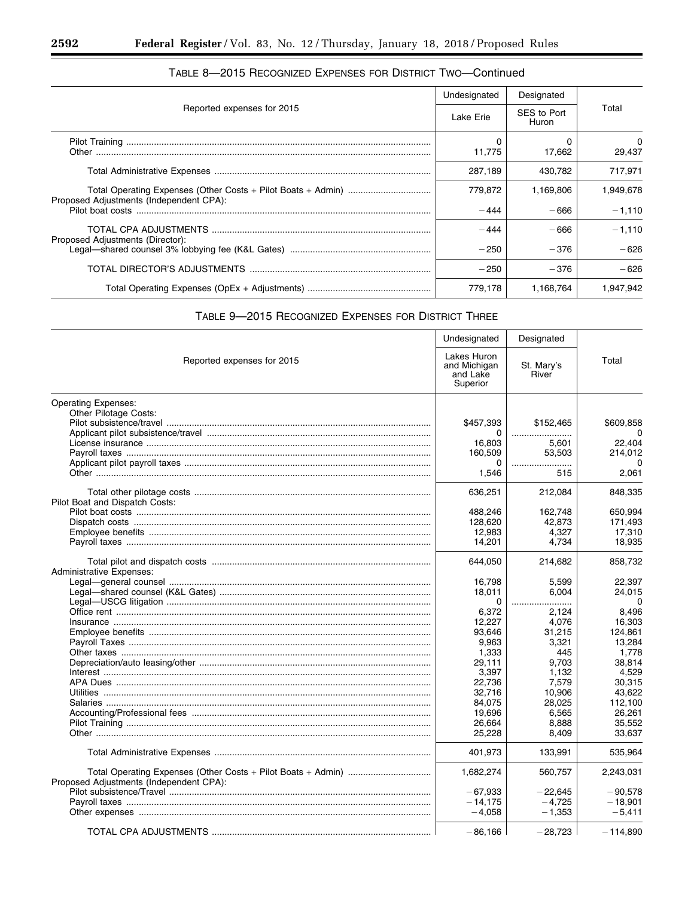|                                         | Undesignated | Designated           |           |
|-----------------------------------------|--------------|----------------------|-----------|
| Reported expenses for 2015              | Lake Erie    | SES to Port<br>Huron | Total     |
|                                         | 0<br>11,775  | 17,662               | 29,437    |
|                                         | 287.189      | 430.782              | 717.971   |
|                                         | 779,872      | 1,169,806            | 1.949.678 |
| Proposed Adjustments (Independent CPA): | $-444$       | $-666$               | $-1.110$  |
|                                         | $-444$       | $-666$               | $-1.110$  |
| Proposed Adjustments (Director):        | $-250$       | $-376$               | $-626$    |
|                                         | $-250$       | $-376$               | $-626$    |
|                                         | 779.178      | 1.168.764            | 1.947.942 |

# TABLE 8-2015 RECOGNIZED EXPENSES FOR DISTRICT TWO-Continued

۲

# TABLE 9-2015 RECOGNIZED EXPENSES FOR DISTRICT THREE

|                                         | Undesignated                                        | Designated          |            |
|-----------------------------------------|-----------------------------------------------------|---------------------|------------|
| Reported expenses for 2015              | Lakes Huron<br>and Michigan<br>and Lake<br>Superior | St. Mary's<br>River | Total      |
| <b>Operating Expenses:</b>              |                                                     |                     |            |
| Other Pilotage Costs:                   |                                                     |                     |            |
|                                         | \$457,393                                           | \$152,465           | \$609,858  |
|                                         | 0                                                   |                     |            |
|                                         | 16,803                                              | 5,601               | 22,404     |
|                                         | 160,509                                             | 53,503              | 214,012    |
|                                         | 0                                                   |                     | 0          |
|                                         | 1,546                                               | 515                 | 2,061      |
|                                         | 636,251                                             | 212,084             | 848,335    |
| Pilot Boat and Dispatch Costs:          |                                                     |                     |            |
|                                         | 488,246                                             | 162,748             | 650,994    |
|                                         | 128,620                                             | 42,873              | 171,493    |
|                                         | 12,983                                              | 4,327               | 17,310     |
|                                         | 14,201                                              | 4,734               | 18,935     |
|                                         | 644,050                                             | 214,682             | 858,732    |
| <b>Administrative Expenses:</b>         |                                                     |                     |            |
|                                         | 16,798                                              | 5,599               | 22,397     |
|                                         | 18,011                                              | 6,004               | 24,015     |
|                                         | 0                                                   |                     | 0          |
|                                         | 6,372                                               | 2.124               | 8,496      |
|                                         | 12,227                                              | 4,076               | 16,303     |
|                                         | 93,646                                              | 31,215              | 124,861    |
|                                         | 9,963                                               | 3,321               | 13,284     |
|                                         | 1,333                                               | 445                 | 1,778      |
|                                         | 29,111                                              | 9,703               | 38,814     |
|                                         | 3,397                                               | 1,132               | 4,529      |
|                                         | 22.736                                              | 7.579               | 30,315     |
|                                         | 32.716                                              | 10,906              | 43,622     |
|                                         | 84,075                                              | 28,025              | 112,100    |
|                                         | 19,696                                              | 6,565               | 26.261     |
|                                         | 26,664                                              | 8.888               | 35.552     |
|                                         | 25,228                                              | 8,409               | 33,637     |
|                                         | 401,973                                             | 133,991             | 535,964    |
|                                         | 1,682,274                                           | 560,757             | 2,243,031  |
| Proposed Adjustments (Independent CPA): |                                                     |                     |            |
|                                         | $-67.933$                                           | $-22.645$           | $-90.578$  |
|                                         | $-14.175$                                           | $-4,725$            | $-18,901$  |
|                                         | $-4.058$                                            | $-1,353$            | $-5,411$   |
|                                         | $-86.166$                                           | $-28.723$           | $-114.890$ |

E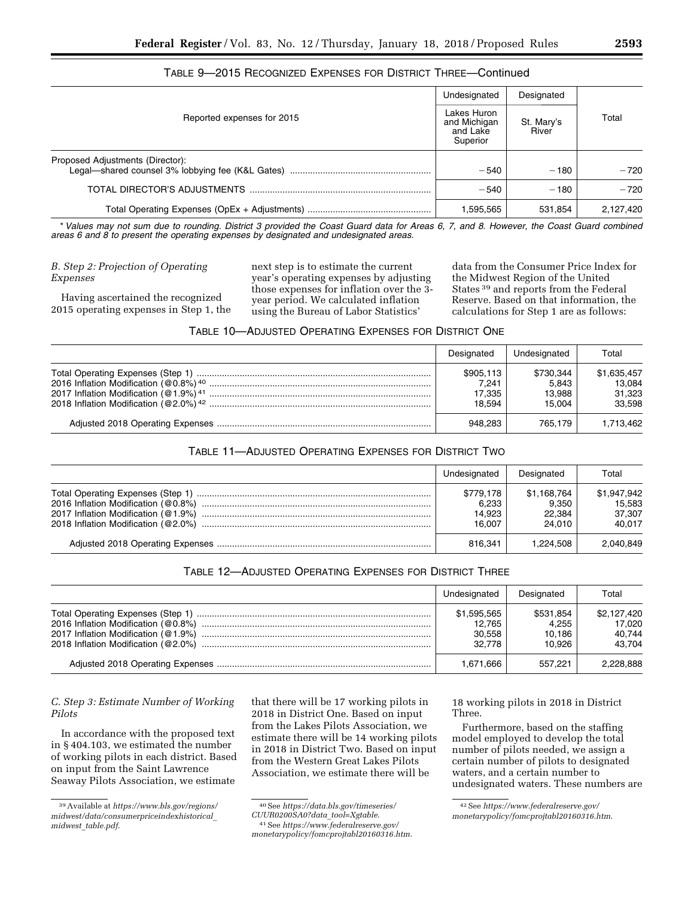|                                  | Undesignated                                        | Designated          |           |
|----------------------------------|-----------------------------------------------------|---------------------|-----------|
| Reported expenses for 2015       | Lakes Huron<br>and Michigan<br>and Lake<br>Superior | St. Mary's<br>River | Total     |
| Proposed Adjustments (Director): | $-540$                                              | $-180$              | $-720$    |
|                                  | $-540$                                              | $-180$              | $-720$    |
|                                  | 1,595,565                                           | 531,854             | 2,127,420 |

# TABLE 9—2015 RECOGNIZED EXPENSES FOR DISTRICT THREE—Continued

\**Values may not sum due to rounding. District 3 provided the Coast Guard data for Areas 6, 7, and 8. However, the Coast Guard combined areas 6 and 8 to present the operating expenses by designated and undesignated areas.* 

*B. Step 2: Projection of Operating Expenses* 

Having ascertained the recognized 2015 operating expenses in Step 1, the next step is to estimate the current year's operating expenses by adjusting those expenses for inflation over the 3 year period. We calculated inflation using the Bureau of Labor Statistics'

data from the Consumer Price Index for the Midwest Region of the United States 39 and reports from the Federal Reserve. Based on that information, the calculations for Step 1 are as follows:

# TABLE 10—ADJUSTED OPERATING EXPENSES FOR DISTRICT ONE

| Designated                             | Undesignated                           | Total                                     |
|----------------------------------------|----------------------------------------|-------------------------------------------|
| \$905.113<br>7.241<br>17.335<br>18.594 | \$730.344<br>5.843<br>13.988<br>15.004 | \$1,635,457<br>13.084<br>31,323<br>33.598 |
| 948,283                                | 765.179                                | 1,713,462                                 |

# TABLE 11—ADJUSTED OPERATING EXPENSES FOR DISTRICT TWO

| Undesignated                           | Designated                               | Total                                     |
|----------------------------------------|------------------------------------------|-------------------------------------------|
| \$779.178<br>6.233<br>14.923<br>16.007 | \$1,168,764<br>9.350<br>22.384<br>24.010 | \$1,947,942<br>15,583<br>37.307<br>40.017 |
| 816.341                                | 1.224.508                                | 2,040,849                                 |

| TABLE 12—ADJUSTED OPERATING EXPENSES FOR DISTRICT THREE |  |
|---------------------------------------------------------|--|
|---------------------------------------------------------|--|

| Undesignated                              | Designated                             | Total                                     |
|-------------------------------------------|----------------------------------------|-------------------------------------------|
| \$1,595,565<br>12.765<br>30.558<br>32.778 | \$531,854<br>4.255<br>10.186<br>10.926 | \$2,127,420<br>17.020<br>40.744<br>43.704 |
| 1.671.666                                 | 557.221                                | 2.228.888                                 |

*C. Step 3: Estimate Number of Working Pilots* 

In accordance with the proposed text in § 404.103, we estimated the number of working pilots in each district. Based on input from the Saint Lawrence Seaway Pilots Association, we estimate

that there will be 17 working pilots in 2018 in District One. Based on input from the Lakes Pilots Association, we estimate there will be 14 working pilots in 2018 in District Two. Based on input from the Western Great Lakes Pilots Association, we estimate there will be

40See *[https://data.bls.gov/timeseries/](https://data.bls.gov/timeseries/CUUR0200SA0?data_tool=Xgtable)* 

*[CUUR0200SA0?data](https://data.bls.gov/timeseries/CUUR0200SA0?data_tool=Xgtable)*\_*tool=Xgtable*.

41See *[https://www.federalreserve.gov/](https://www.federalreserve.gov/monetarypolicy/fomcprojtabl20160316.htm)  [monetarypolicy/fomcprojtabl20160316.htm](https://www.federalreserve.gov/monetarypolicy/fomcprojtabl20160316.htm)*.

18 working pilots in 2018 in District Three.

Furthermore, based on the staffing model employed to develop the total number of pilots needed, we assign a certain number of pilots to designated waters, and a certain number to undesignated waters. These numbers are

<sup>39</sup>Available at *[https://www.bls.gov/regions/](https://www.bls.gov/regions/midwest/data/consumerpriceindexhistorical_midwest_table.pdf) [midwest/data/consumerpriceindexhistorical](https://www.bls.gov/regions/midwest/data/consumerpriceindexhistorical_midwest_table.pdf)*\_ *midwest*\_*[table.pdf](https://www.bls.gov/regions/midwest/data/consumerpriceindexhistorical_midwest_table.pdf)*.

<sup>42</sup>See *[https://www.federalreserve.gov/](https://www.federalreserve.gov/monetarypolicy/fomcprojtabl20160316.htm)  [monetarypolicy/fomcprojtabl20160316.htm](https://www.federalreserve.gov/monetarypolicy/fomcprojtabl20160316.htm)*.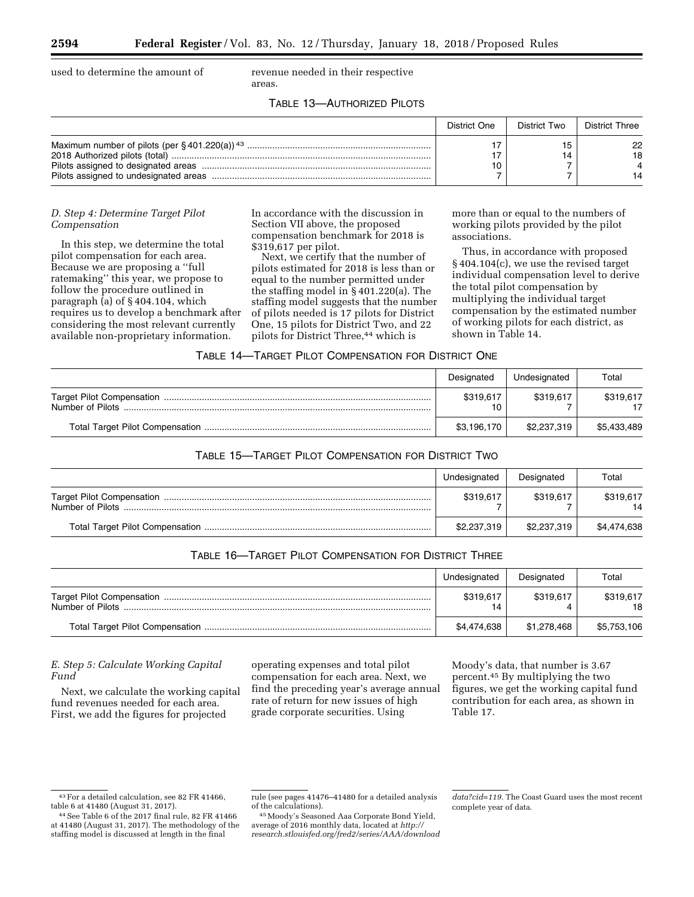used to determine the amount of revenue needed in their respective

areas.

# TABLE 13—AUTHORIZED PILOTS

| District One | District Two | District Three |
|--------------|--------------|----------------|
|              |              | 22<br>18       |

## *D. Step 4: Determine Target Pilot Compensation*

In this step, we determine the total pilot compensation for each area. Because we are proposing a ''full ratemaking'' this year, we propose to follow the procedure outlined in paragraph (a) of § 404.104, which requires us to develop a benchmark after considering the most relevant currently available non-proprietary information.

In accordance with the discussion in Section VII above, the proposed compensation benchmark for 2018 is \$319,617 per pilot.

Next, we certify that the number of pilots estimated for 2018 is less than or equal to the number permitted under the staffing model in § 401.220(a). The staffing model suggests that the number of pilots needed is 17 pilots for District One, 15 pilots for District Two, and 22 pilots for District Three,<sup>44</sup> which is

more than or equal to the numbers of working pilots provided by the pilot associations.

Thus, in accordance with proposed § 404.104(c), we use the revised target individual compensation level to derive the total pilot compensation by multiplying the individual target compensation by the estimated number of working pilots for each district, as shown in Table 14.

| TABLE 14—TARGET PILOT COMPENSATION FOR DISTRICT ONE |
|-----------------------------------------------------|
|-----------------------------------------------------|

|                  | Designated  | Undesignated | Total       |
|------------------|-------------|--------------|-------------|
| Number of Pilots | \$319,617   | \$319.617    | \$319,617   |
|                  | \$3,196,170 | \$2,237,319  | \$5,433,489 |

# TABLE 15—TARGET PILOT COMPENSATION FOR DISTRICT TWO

| Undesignated | Designated  | Total       |
|--------------|-------------|-------------|
| \$319,617    | \$319.617   | \$319,617   |
| \$2,237,319  | \$2,237,319 | \$4,474,638 |

# TABLE 16—TARGET PILOT COMPENSATION FOR DISTRICT THREE

|                  | Undesignated    | Designated  | Total           |
|------------------|-----------------|-------------|-----------------|
| Number of Pilots | \$319,617<br>14 | \$319,617   | \$319,617<br>18 |
|                  | \$4,474,638     | \$1,278,468 | \$5,753,106     |

# *E. Step 5: Calculate Working Capital Fund*

Next, we calculate the working capital fund revenues needed for each area. First, we add the figures for projected

operating expenses and total pilot compensation for each area. Next, we find the preceding year's average annual rate of return for new issues of high grade corporate securities. Using

Moody's data, that number is 3.67 percent.45 By multiplying the two figures, we get the working capital fund contribution for each area, as shown in Table 17.

45Moody's Seasoned Aaa Corporate Bond Yield, average of 2016 monthly data, located at *[http://](http://research.stlouisfed.org/fred2/series/AAA/downloaddata?cid=119) [research.stlouisfed.org/fred2/series/AAA/download](http://research.stlouisfed.org/fred2/series/AAA/downloaddata?cid=119)*

<sup>43</sup>For a detailed calculation, see 82 FR 41466, table 6 at 41480 (August 31, 2017).

<sup>44</sup>See Table 6 of the 2017 final rule, 82 FR 41466 at 41480 (August 31, 2017). The methodology of the staffing model is discussed at length in the final

rule (see pages 41476–41480 for a detailed analysis of the calculations).

*[data?cid=119.](http://research.stlouisfed.org/fred2/series/AAA/downloaddata?cid=119)* The Coast Guard uses the most recent complete year of data.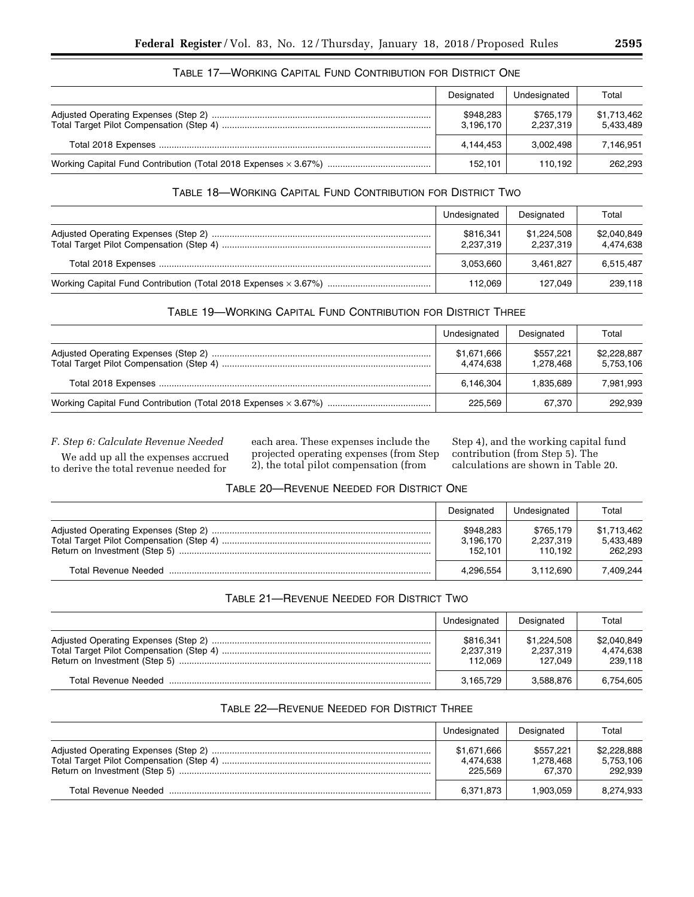| Designated             | Undesignated           | Total                    |
|------------------------|------------------------|--------------------------|
| \$948,283<br>3,196,170 | \$765,179<br>2.237.319 | \$1,713,462<br>5,433,489 |
| 4.144.453              | 3.002.498              | 7.146.951                |
| 152.101                | 110.192                | 262.293                  |

# TABLE 17—WORKING CAPITAL FUND CONTRIBUTION FOR DISTRICT ONE

# TABLE 18—WORKING CAPITAL FUND CONTRIBUTION FOR DISTRICT TWO

| Undesignated           | Designated               | Total                    |
|------------------------|--------------------------|--------------------------|
| \$816,341<br>2,237,319 | \$1,224,508<br>2,237,319 | \$2,040,849<br>4,474,638 |
| 3.053.660              | 3.461.827                | 6,515,487                |
| 112.069                | 127.049                  | 239,118                  |

# TABLE 19—WORKING CAPITAL FUND CONTRIBUTION FOR DISTRICT THREE

| Undesignated             | Designated             | Total                    |
|--------------------------|------------------------|--------------------------|
| \$1,671,666<br>4.474.638 | \$557.221<br>1.278.468 | \$2,228,887<br>5.753.106 |
| 6,146,304                | 1.835.689              | 7.981.993                |
| 225.569                  | 67.370                 | 292,939                  |

*F. Step 6: Calculate Revenue Needed* 

We add up all the expenses accrued to derive the total revenue needed for

each area. These expenses include the projected operating expenses (from Step 2), the total pilot compensation (from

Step 4), and the working capital fund contribution (from Step 5). The calculations are shown in Table 20.

# TABLE 20—REVENUE NEEDED FOR DISTRICT ONE

| Designated                        | Undesignated                      | Total                               |
|-----------------------------------|-----------------------------------|-------------------------------------|
| \$948,283<br>3,196,170<br>152.101 | \$765.179<br>2,237,319<br>110.192 | \$1,713,462<br>5,433,489<br>262.293 |
| 4,296,554                         | 3.112.690                         | 7.409.244                           |

# TABLE 21—REVENUE NEEDED FOR DISTRICT TWO

| Undesignated                      | Designated                          | Total                               |
|-----------------------------------|-------------------------------------|-------------------------------------|
| \$816.341<br>2,237,319<br>112.069 | \$1.224.508<br>2,237,319<br>127.049 | \$2,040,849<br>4.474.638<br>239.118 |
| 3,165,729                         | 3,588,876                           | 6,754,605                           |

# TABLE 22—REVENUE NEEDED FOR DISTRICT THREE

| Undesignated                        | Designated                       | Total                               |
|-------------------------------------|----------------------------------|-------------------------------------|
| \$1.671.666<br>4.474.638<br>225.569 | \$557.221<br>1.278.468<br>67.370 | \$2,228,888<br>5.753.106<br>292.939 |
| 6,371,873                           | 1.903.059                        | 8.274.933                           |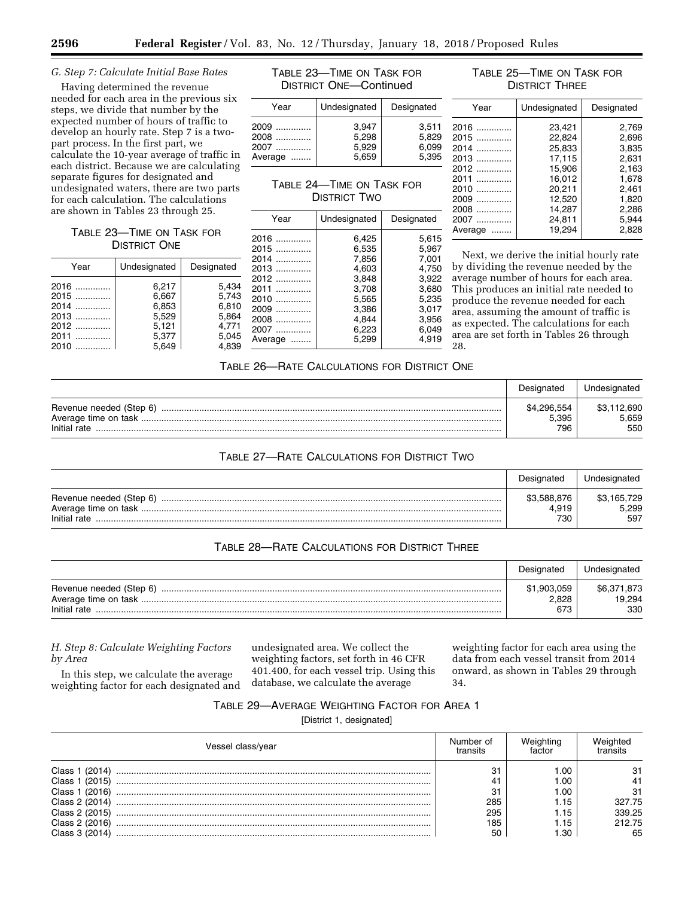### *G. Step 7: Calculate Initial Base Rates*

Having determined the revenue needed for each area in the previous six steps, we divide that number by the expected number of hours of traffic to develop an hourly rate. Step 7 is a twopart process. In the first part, we calculate the 10-year average of traffic in each district. Because we are calculating separate figures for designated and undesignated waters, there are two parts for each calculation. The calculations are shown in Tables 23 through 25.

### TABLE 23—TIME ON TASK FOR DISTRICT ONE

| Year   | Undesignated | Designated | 2014<br>2013 |
|--------|--------------|------------|--------------|
| 2016   | 6.217        | 5,434      | 2012<br>2011 |
| $2015$ | 6,667        | 5,743      | 2010         |
| 2014   | 6,853        | 6,810      | 2009         |
| 2013   | 5,529        | 5,864      | 2008         |
| 2012   | 5.121        | 4,771      | 2007         |
| 2011   | 5,377        | 5,045      | Average      |
| 2010   | 5,649        | 4,839      |              |

TABLE 23—TIME ON TASK FOR DISTRICT ONE—Continued

| Year    | Undesignated | Designated |
|---------|--------------|------------|
| 2009    | 3.947        | 3.511      |
| $2008$  | 5.298        | 5.829      |
| 2007    | 5.929        | 6.099      |
| Average | 5.659        | 5.395      |

# TABLE 24—TIME ON TASK FOR DISTRICT TWO

| Year    | Undesignated | Designated |
|---------|--------------|------------|
| 2016    | 6.425        | 5,615      |
| 2015    | 6,535        | 5,967      |
| 2014    | 7,856        | 7,001      |
| 2013    | 4,603        | 4,750      |
| 2012    | 3,848        | 3,922      |
| 2011    | 3,708        | 3,680      |
| 2010    | 5,565        | 5,235      |
| 2009    | 3,386        | 3,017      |
| 2008    | 4.844        | 3,956      |
| 2007    | 6,223        | 6.049      |
| Average | 5,299        | 4.919      |

# TABLE 25—TIME ON TASK FOR DISTRICT THREE

| Year    | Undesignated | Designated |
|---------|--------------|------------|
| 2016    | 23,421       | 2,769      |
| 2015    | 22.824       | 2,696      |
| 2014    | 25,833       | 3,835      |
| 2013    | 17.115       | 2.631      |
| 2012    | 15.906       | 2,163      |
| 2011    | 16.012       | 1.678      |
| 2010    | 20,211       | 2.461      |
| 2009    | 12.520       | 1.820      |
| 2008    | 14.287       | 2,286      |
| 2007    | 24.811       | 5.944      |
| Average | 19.294       | 2.828      |

Next, we derive the initial hourly rate by dividing the revenue needed by the average number of hours for each area. This produces an initial rate needed to produce the revenue needed for each area, assuming the amount of traffic is as expected. The calculations for each area are set forth in Tables 26 through 28.

### TABLE 26—RATE CALCULATIONS FOR DISTRICT ONE

|                                         | Designated                  | Undesignated                |
|-----------------------------------------|-----------------------------|-----------------------------|
| Revenue needed (Step 6)<br>Initial rate | \$4,296,554<br>5.395<br>796 | \$3,112,690<br>5.659<br>550 |

### TABLE 27—RATE CALCULATIONS FOR DISTRICT TWO

|                                         | Designated                  | Undesignated                |
|-----------------------------------------|-----------------------------|-----------------------------|
| Revenue needed (Step 6)<br>Initial rate | \$3,588,876<br>4.919<br>730 | \$3,165,729<br>5.299<br>597 |

# TABLE 28—RATE CALCULATIONS FOR DISTRICT THREE

|                                         | Designated                  | Undesignated                 |
|-----------------------------------------|-----------------------------|------------------------------|
| Revenue needed (Step 6)<br>Initial rate | \$1,903,059<br>2,828<br>673 | \$6,371,873<br>19,294<br>330 |

# *H. Step 8: Calculate Weighting Factors by Area*

In this step, we calculate the average weighting factor for each designated and undesignated area. We collect the weighting factors, set forth in 46 CFR 401.400, for each vessel trip. Using this database, we calculate the average

weighting factor for each area using the data from each vessel transit from 2014 onward, as shown in Tables 29 through 34.

### TABLE 29—AVERAGE WEIGHTING FACTOR FOR AREA 1

[District 1, designated]

| Vessel class/year | Number of | actor  |        |
|-------------------|-----------|--------|--------|
| Class 1           | 31        | .00    |        |
| Class 1 (2015)    | 4.        | .00    |        |
| Class 1 (2016)    | 31        | .00    | -31    |
| Class 2 (2014)    | 285       | .15،   | 327.75 |
| Class 2 (2015)    | 295       |        | 339.25 |
| Class 2 (2016)    | 185       | . . 15 | 212.75 |
| Class 3 (2014)    | 50        | .30    | 65     |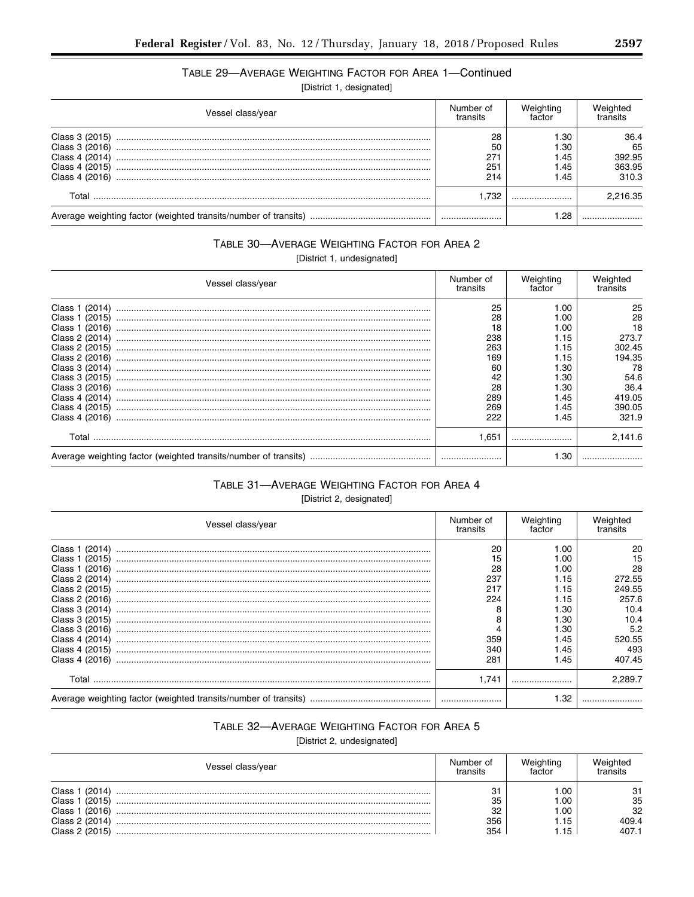Ξ

# TABLE 29-AVERAGE WEIGHTING FACTOR FOR AREA 1-Continued

[District 1, designated]

| Vessel class/year                                                                      |                               | Weighting<br>factor                    | vveianted<br>transits                   |
|----------------------------------------------------------------------------------------|-------------------------------|----------------------------------------|-----------------------------------------|
| Class 3 (2015)<br>Class 3 (2016)<br>Class 4 (2014)<br>Class 4 (2015)<br>Class 4 (2016) | 28<br>50<br>271<br>251<br>214 | 1.30<br>l.30<br>45. ا<br>45. ا<br>1.45 | 36.4<br>65<br>392.95<br>363.95<br>310.3 |
| Total                                                                                  | 1.732                         |                                        | 2,216.35                                |
| Average weighting factor (weighted transits/number of transits)                        |                               | 1.28                                   |                                         |

# TABLE 30-AVERAGE WEIGHTING FACTOR FOR AREA 2

[District 1, undesignated]

| Vessel class/year                                                                                                                                                                                                    |                                                                            | Weighting<br>factor                                                                          | Weighted<br>transits                                                                           |
|----------------------------------------------------------------------------------------------------------------------------------------------------------------------------------------------------------------------|----------------------------------------------------------------------------|----------------------------------------------------------------------------------------------|------------------------------------------------------------------------------------------------|
| Class 1 (2014)<br>Class 1 (2015)<br>Class 1 (2016)<br>Class 2 (2014)<br>Class 2 (2015)<br>Class 2 (2016)<br>Class 3 (2014)<br>Class 3 (2015)<br>Class 3 (2016)<br>Class 4 (2014)<br>Class 4 (2015)<br>Class 4 (2016) | 25<br>28<br>18<br>238<br>263<br>169<br>60<br>42<br>28<br>289<br>269<br>222 | 00. ،<br>.00<br>00. ا<br>1.15<br>1.15<br>1.15<br>⊦.30<br>.30<br>.30<br>l.45<br>1.45<br>45. ا | 25<br>28<br>18<br>273.7<br>302.45<br>194.35<br>78<br>54.6<br>36.4<br>419.05<br>390.05<br>321.9 |
| Total                                                                                                                                                                                                                | 1.651                                                                      |                                                                                              | 2.141.6                                                                                        |
|                                                                                                                                                                                                                      |                                                                            | 1.30                                                                                         |                                                                                                |

# TABLE 31-AVERAGE WEIGHTING FACTOR FOR AREA 4

[District 2, designated]

| Vessel class/year                                                                                                                                                                |                                                           | Weighting<br>factor                                                        | Weighted<br>transits                                                         |
|----------------------------------------------------------------------------------------------------------------------------------------------------------------------------------|-----------------------------------------------------------|----------------------------------------------------------------------------|------------------------------------------------------------------------------|
| Class 1 (2014)<br>Class 1 (2015)<br>Class 1 (2016)<br>Class 2 (2014)<br>Class 2 (2015)<br>Class 2 (2016)<br>Class 3 (2014)<br>Class 3 (2015)<br>Class 3 (2016)<br>Class 4 (2014) | 20<br>15<br>28<br>237<br>217<br>224<br>8<br>8<br>4<br>359 | 1.00<br>.00<br>.00<br>1.15<br>1.15<br>1.15<br>⊦.30<br>⊦.30<br>⊦.30<br>1.45 | 20<br>15<br>28<br>272.55<br>249.55<br>257.6<br>10.4<br>10.4<br>5.2<br>520.55 |
| Class 4 (2015)<br>Class 4 (2016)                                                                                                                                                 | 340<br>281                                                | 1.45<br>1.45                                                               | 493<br>407.45                                                                |
| Total                                                                                                                                                                            | 1.741                                                     |                                                                            | 2.289.7                                                                      |
|                                                                                                                                                                                  |                                                           | 1.32                                                                       |                                                                              |

# TABLE 32-AVERAGE WEIGHTING FACTOR FOR AREA 5

[District 2, undesignated]

| Vessel class/year |     | Weighting<br>factor | Weighted<br>transits |
|-------------------|-----|---------------------|----------------------|
| Class 1 (2014)    | 31  | .00                 | 31                   |
| Class 1 (2015)    | 35  | 1.00                | 35                   |
| Class 1 (2016)    | 32  | L.OO                | 32                   |
| Class 2 (2014)    | 356 | .15                 | 409.4                |
| Class 2 (2015)    | 354 | .15                 | 407.1                |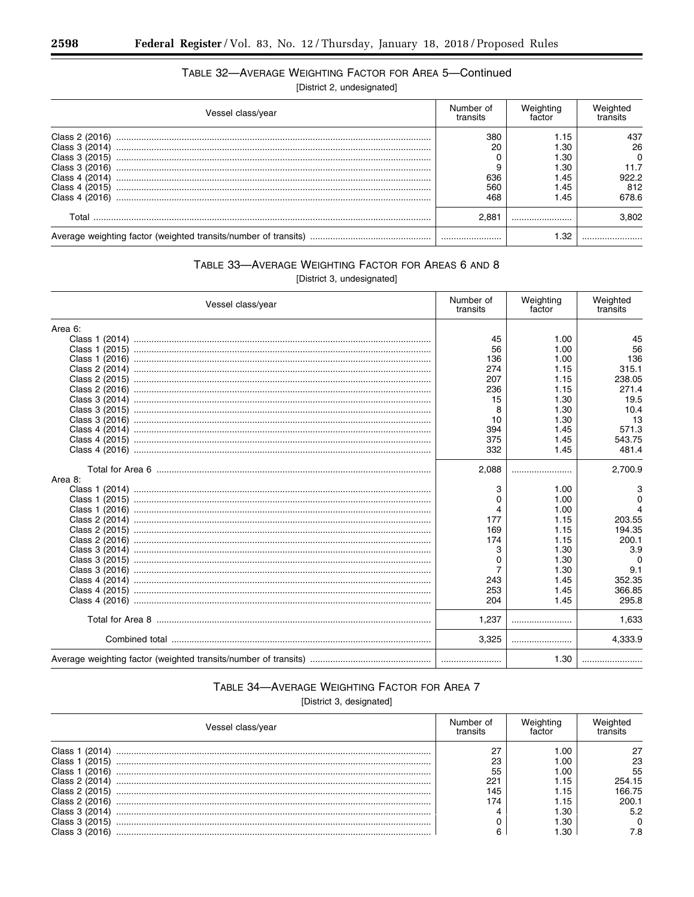# TABLE 32-AVERAGE WEIGHTING FACTOR FOR AREA 5-Continued

[District 2, undesignated]

| Vessel class/year                                                                                                          |                                | Weighting<br>factor                                  | Weighted<br>transits                       |
|----------------------------------------------------------------------------------------------------------------------------|--------------------------------|------------------------------------------------------|--------------------------------------------|
| Class 2 (2016)<br>Class 3 (2014)<br>Class 3 (2015)<br>Class 3 (2016)<br>Class 4 (2014)<br>Class 4 (2015)<br>Class 4 (2016) | 380<br>20<br>636<br>560<br>468 | l.15<br>1.30<br>1.30<br>1.30<br>1.45<br>1.45<br>1.45 | 437<br>26<br>11.7<br>922.2<br>812<br>678.6 |
| Total                                                                                                                      | 2.881                          |                                                      | 3.802                                      |
|                                                                                                                            |                                | 1.32                                                 |                                            |

# TABLE 33-AVERAGE WEIGHTING FACTOR FOR AREAS 6 AND 8

[District 3, undesignated]

| Vessel class/year |                | Weighting<br>factor | Weighted<br>transits |
|-------------------|----------------|---------------------|----------------------|
| Area 6:           |                |                     |                      |
|                   | 45             | 1.00                | 45                   |
|                   | 56             | 1.00                | 56                   |
|                   | 136            | 1.00                | 136                  |
|                   | 274            | 1.15                | 315.1                |
|                   | 207            | 1.15                | 238.05               |
|                   | 236            | 1.15                | 271.4                |
|                   | 15             | 1.30                | 19.5                 |
|                   | 8              | 1.30                | 10.4                 |
|                   | 10             | 1.30                | 13                   |
|                   | 394            | 1.45                | 571.3                |
|                   | 375            | 1.45                | 543.75               |
|                   | 332            | 1.45                | 481.4                |
|                   | 2,088          |                     | 2,700.9              |
| Area 8:           |                |                     |                      |
|                   | 3              | 1.00                | 3                    |
|                   | 0              | 1.00                | $\Omega$             |
|                   | 4              | 1.00                | $\Delta$             |
|                   | 177            | 1.15                | 203.55               |
|                   | 169            | 1.15                | 194.35               |
|                   | 174            | 1.15                | 200.1                |
|                   | 3              | 1.30                | 3.9                  |
|                   | 0              | 1.30                | ∩                    |
|                   | $\overline{7}$ | 1.30                | 9.1                  |
|                   | 243            | 1.45                | 352.35               |
|                   | 253            | 1.45                | 366.85               |
|                   | 204            | 1.45                | 295.8                |
|                   | 1,237          |                     | 1,633                |
|                   | 3,325          |                     | 4,333.9              |
|                   |                | 1.30                |                      |

# TABLE 34-AVERAGE WEIGHTING FACTOR FOR AREA 7

[District 3, designated]

| Vessel class/year | Number of<br>transits | actor |        |
|-------------------|-----------------------|-------|--------|
| Class 1 (2014)    | 27                    | 1.00  |        |
| Class 1 (2015)    | 23                    | LOC.  | 23     |
| Class 1 (2016)    | 55                    | L.OO  | 55     |
| Class 2 (2014)    | 221                   | .15   | 254.15 |
| Class 2 (2015)    | 145                   | . 15  | 66.75  |
| Class 2 (2016)    | 174                   | ا 1.5 | 200.1  |
| Class 3 (2014)    |                       | I.30  | 5.2    |
| Class 3 (2015)    |                       | 1.30  |        |
| Class 3 (2016)    |                       | .30   | 7.8    |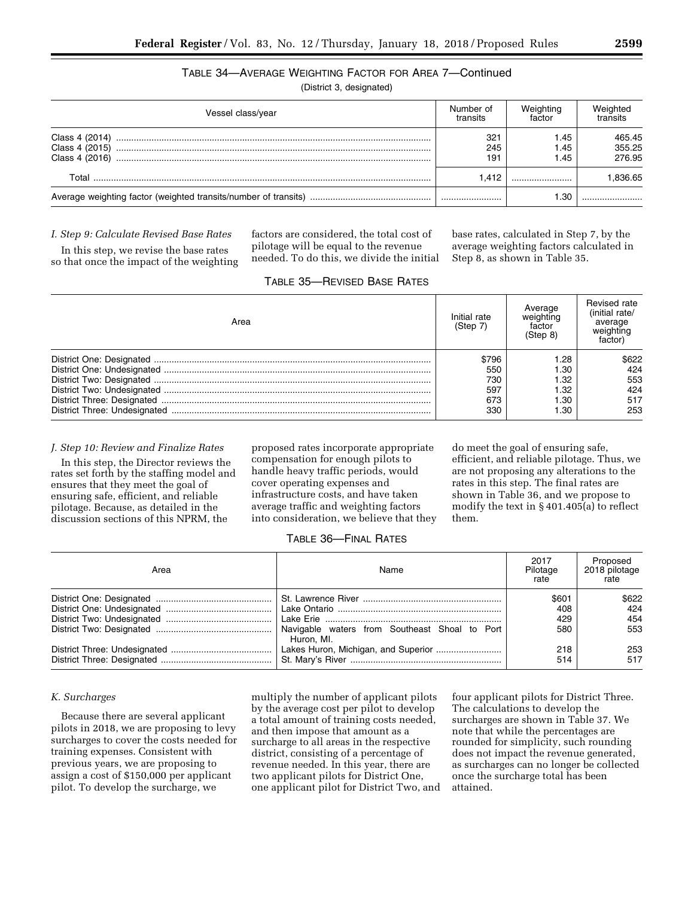# TABLE 34—AVERAGE WEIGHTING FACTOR FOR AREA 7—Continued

(District 3, designated)

| Vessel class/year                | Number of<br>transits | Weighting<br>factor  | Weighted<br>transits       |
|----------------------------------|-----------------------|----------------------|----------------------------|
| Class 4 (2015)<br>Class 4 (2016) | 321<br>245<br>191     | 1.45<br>1.45<br>1.45 | 465.45<br>355.25<br>276.95 |
| Total                            | 1.412                 |                      | .836.65                    |
|                                  |                       | -30                  |                            |

### *I. Step 9: Calculate Revised Base Rates*

In this step, we revise the base rates so that once the impact of the weighting factors are considered, the total cost of pilotage will be equal to the revenue needed. To do this, we divide the initial base rates, calculated in Step 7, by the average weighting factors calculated in Step 8, as shown in Table 35.

| Area                         | Initial rate<br>(Step 7) | Average<br>weighting<br>factor<br>(Step 8) | Revised rate<br>(initial rate/<br>average<br>weighting<br>factor <sup>'</sup> |
|------------------------------|--------------------------|--------------------------------------------|-------------------------------------------------------------------------------|
|                              | \$796                    | .28                                        | \$622                                                                         |
|                              | 550                      | .30                                        | 424                                                                           |
|                              | 730                      | .32                                        | 553                                                                           |
|                              | 597                      | .32                                        | 424                                                                           |
|                              | 673                      | .30                                        | 517                                                                           |
| District Three: Undesignated | 330                      | .30                                        | 253                                                                           |

# TABLE 35—REVISED BASE RATES

#### *J. Step 10: Review and Finalize Rates*

In this step, the Director reviews the rates set forth by the staffing model and ensures that they meet the goal of ensuring safe, efficient, and reliable pilotage. Because, as detailed in the discussion sections of this NPRM, the

proposed rates incorporate appropriate compensation for enough pilots to handle heavy traffic periods, would cover operating expenses and infrastructure costs, and have taken average traffic and weighting factors into consideration, we believe that they

do meet the goal of ensuring safe, efficient, and reliable pilotage. Thus, we are not proposing any alterations to the rates in this step. The final rates are shown in Table 36, and we propose to modify the text in § 401.405(a) to reflect them.

# TABLE 36—FINAL RATES

| Area | Name                                              | 2017<br>Pilotage<br>rate   | Proposed<br>2018 pilotage<br>rate |
|------|---------------------------------------------------|----------------------------|-----------------------------------|
|      | Navigable waters from Southeast Shoal to Port     | \$601<br>408<br>429<br>580 | \$622<br>424<br>454<br>553        |
|      | Huron, MI.<br>Lakes Huron, Michigan, and Superior | 218<br>514                 | 253<br>517                        |

### *K. Surcharges*

Because there are several applicant pilots in 2018, we are proposing to levy surcharges to cover the costs needed for training expenses. Consistent with previous years, we are proposing to assign a cost of \$150,000 per applicant pilot. To develop the surcharge, we

multiply the number of applicant pilots by the average cost per pilot to develop a total amount of training costs needed, and then impose that amount as a surcharge to all areas in the respective district, consisting of a percentage of revenue needed. In this year, there are two applicant pilots for District One, one applicant pilot for District Two, and

four applicant pilots for District Three. The calculations to develop the surcharges are shown in Table 37. We note that while the percentages are rounded for simplicity, such rounding does not impact the revenue generated, as surcharges can no longer be collected once the surcharge total has been attained.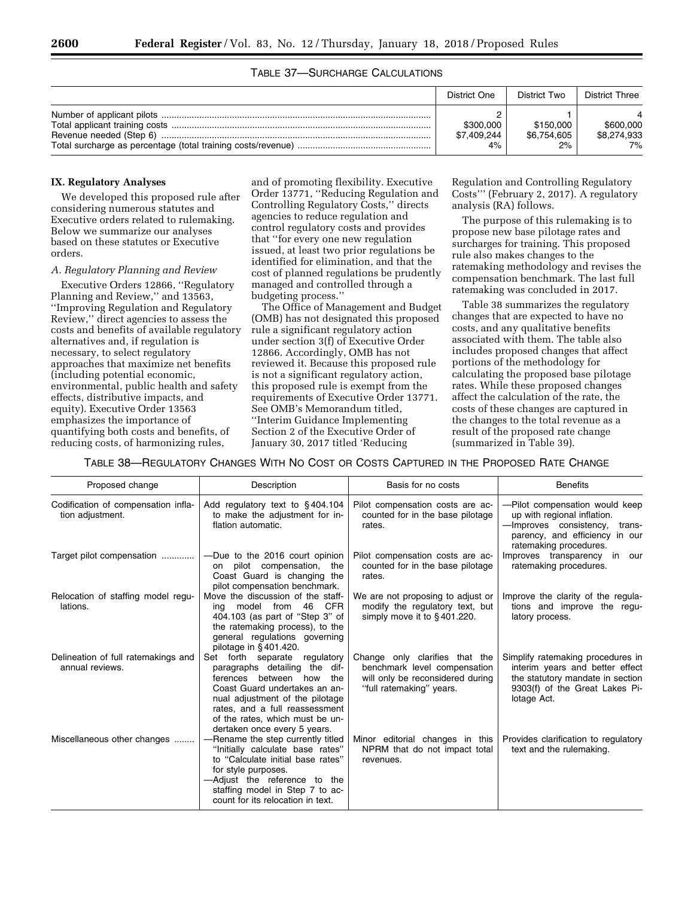# TABLE 37—SURCHARGE CALCULATIONS

| District One                   | District Two                   | <b>District Three</b>          |
|--------------------------------|--------------------------------|--------------------------------|
| \$300,000<br>\$7,409,244<br>4% | \$150,000<br>\$6,754,605<br>2% | \$600,000<br>\$8,274,933<br>7% |

### **IX. Regulatory Analyses**

We developed this proposed rule after considering numerous statutes and Executive orders related to rulemaking. Below we summarize our analyses based on these statutes or Executive orders.

### *A. Regulatory Planning and Review*

Executive Orders 12866, ''Regulatory Planning and Review,'' and 13563, ''Improving Regulation and Regulatory Review,'' direct agencies to assess the costs and benefits of available regulatory alternatives and, if regulation is necessary, to select regulatory approaches that maximize net benefits (including potential economic, environmental, public health and safety effects, distributive impacts, and equity). Executive Order 13563 emphasizes the importance of quantifying both costs and benefits, of reducing costs, of harmonizing rules,

and of promoting flexibility. Executive Order 13771, ''Reducing Regulation and Controlling Regulatory Costs,'' directs agencies to reduce regulation and control regulatory costs and provides that ''for every one new regulation issued, at least two prior regulations be identified for elimination, and that the cost of planned regulations be prudently managed and controlled through a budgeting process.''

The Office of Management and Budget (OMB) has not designated this proposed rule a significant regulatory action under section 3(f) of Executive Order 12866. Accordingly, OMB has not reviewed it. Because this proposed rule is not a significant regulatory action, this proposed rule is exempt from the requirements of Executive Order 13771. See OMB's Memorandum titled, ''Interim Guidance Implementing Section 2 of the Executive Order of January 30, 2017 titled 'Reducing

Regulation and Controlling Regulatory Costs''' (February 2, 2017). A regulatory analysis (RA) follows.

The purpose of this rulemaking is to propose new base pilotage rates and surcharges for training. This proposed rule also makes changes to the ratemaking methodology and revises the compensation benchmark. The last full ratemaking was concluded in 2017.

Table 38 summarizes the regulatory changes that are expected to have no costs, and any qualitative benefits associated with them. The table also includes proposed changes that affect portions of the methodology for calculating the proposed base pilotage rates. While these proposed changes affect the calculation of the rate, the costs of these changes are captured in the changes to the total revenue as a result of the proposed rate change (summarized in Table 39).

### TABLE 38—REGULATORY CHANGES WITH NO COST OR COSTS CAPTURED IN THE PROPOSED RATE CHANGE

| Proposed change                                         | Description                                                                                                                                                                                                                                                               | Basis for no costs                                                                                                             | <b>Benefits</b>                                                                                                                                               |
|---------------------------------------------------------|---------------------------------------------------------------------------------------------------------------------------------------------------------------------------------------------------------------------------------------------------------------------------|--------------------------------------------------------------------------------------------------------------------------------|---------------------------------------------------------------------------------------------------------------------------------------------------------------|
| Codification of compensation infla-<br>tion adjustment. | Add regulatory text to §404.104<br>to make the adjustment for in-<br>flation automatic.                                                                                                                                                                                   | Pilot compensation costs are ac-<br>counted for in the base pilotage<br>rates.                                                 | -Pilot compensation would keep<br>up with regional inflation.<br>-Improves consistency,<br>trans-<br>parency, and efficiency in our<br>ratemaking procedures. |
| Target pilot compensation                               | -Due to the 2016 court opinion<br>on pilot compensation,<br>the<br>Coast Guard is changing the<br>pilot compensation benchmark.                                                                                                                                           | Pilot compensation costs are ac-<br>counted for in the base pilotage<br>rates.                                                 | Improves transparency in our<br>ratemaking procedures.                                                                                                        |
| Relocation of staffing model regu-<br>lations.          | Move the discussion of the staff-<br>CFR<br>model from 46<br>ina<br>404.103 (as part of "Step 3" of<br>the ratemaking process), to the<br>general regulations governing<br>pilotage in §401.420.                                                                          | We are not proposing to adjust or<br>modify the regulatory text, but<br>simply move it to $§$ 401.220.                         | Improve the clarity of the regula-<br>tions and improve the requ-<br>latory process.                                                                          |
| Delineation of full ratemakings and<br>annual reviews.  | Set forth separate<br>regulatory<br>paragraphs detailing the dif-<br>ferences between how<br>the<br>Coast Guard undertakes an an-<br>nual adjustment of the pilotage<br>rates, and a full reassessment<br>of the rates, which must be un-<br>dertaken once every 5 years. | Change only clarifies that the<br>benchmark level compensation<br>will only be reconsidered during<br>"full ratemaking" years. | Simplify ratemaking procedures in<br>interim years and better effect<br>the statutory mandate in section<br>9303(f) of the Great Lakes Pi-<br>lotage Act.     |
| Miscellaneous other changes                             | -Rename the step currently titled<br>"Initially calculate base rates"<br>to "Calculate initial base rates"<br>for style purposes.<br>-Adjust the reference to the<br>staffing model in Step 7 to ac-<br>count for its relocation in text.                                 | Minor editorial changes in this<br>NPRM that do not impact total<br>revenues.                                                  | Provides clarification to regulatory<br>text and the rulemaking.                                                                                              |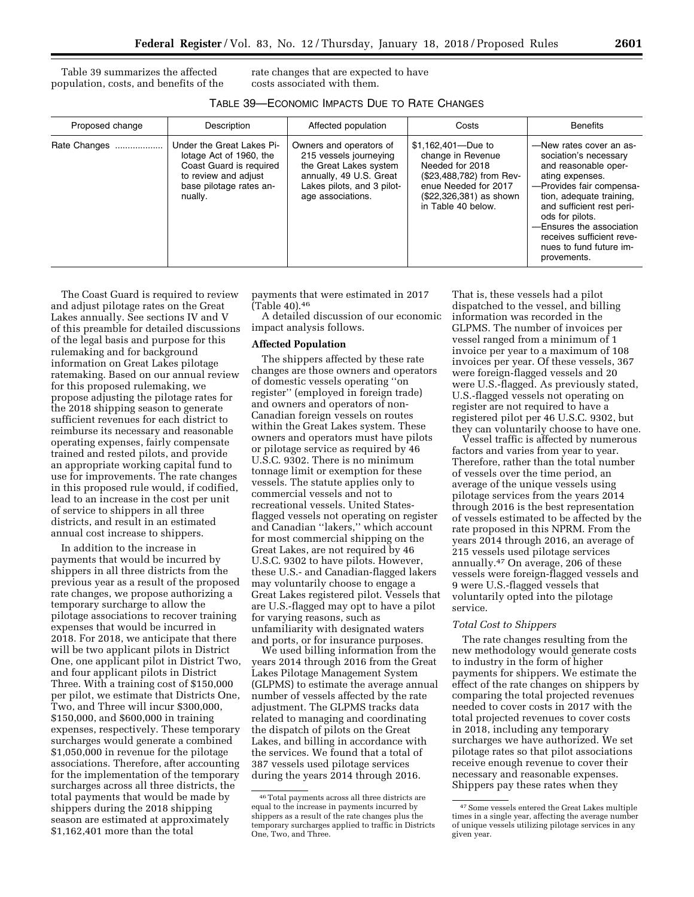Table 39 summarizes the affected population, costs, and benefits of the rate changes that are expected to have costs associated with them.

| TABLE 39—ECONOMIC IMPACTS DUE TO RATE CHANGES |  |
|-----------------------------------------------|--|
|-----------------------------------------------|--|

| Proposed change | Description                                                                                                                                   | Affected population                                                                                                                                       | Costs                                                                                                                                                           | <b>Benefits</b>                                                                                                                                                                                                                                                                                        |
|-----------------|-----------------------------------------------------------------------------------------------------------------------------------------------|-----------------------------------------------------------------------------------------------------------------------------------------------------------|-----------------------------------------------------------------------------------------------------------------------------------------------------------------|--------------------------------------------------------------------------------------------------------------------------------------------------------------------------------------------------------------------------------------------------------------------------------------------------------|
| Rate Changes    | Under the Great Lakes Pi-<br>lotage Act of 1960, the<br>Coast Guard is required<br>to review and adjust<br>base pilotage rates an-<br>nually. | Owners and operators of<br>215 vessels journeying<br>the Great Lakes system<br>annually, 49 U.S. Great<br>Lakes pilots, and 3 pilot-<br>age associations. | \$1,162,401-Due to<br>change in Revenue<br>Needed for 2018<br>(\$23,488,782) from Rev-<br>enue Needed for 2017<br>(\$22,326,381) as shown<br>in Table 40 below. | -New rates cover an as-<br>sociation's necessary<br>and reasonable oper-<br>ating expenses.<br>-Provides fair compensa-<br>tion, adequate training,<br>and sufficient rest peri-<br>ods for pilots.<br>-Ensures the association<br>receives sufficient reve-<br>nues to fund future im-<br>provements. |

The Coast Guard is required to review and adjust pilotage rates on the Great Lakes annually. See sections IV and V of this preamble for detailed discussions of the legal basis and purpose for this rulemaking and for background information on Great Lakes pilotage ratemaking. Based on our annual review for this proposed rulemaking, we propose adjusting the pilotage rates for the 2018 shipping season to generate sufficient revenues for each district to reimburse its necessary and reasonable operating expenses, fairly compensate trained and rested pilots, and provide an appropriate working capital fund to use for improvements. The rate changes in this proposed rule would, if codified, lead to an increase in the cost per unit of service to shippers in all three districts, and result in an estimated annual cost increase to shippers.

In addition to the increase in payments that would be incurred by shippers in all three districts from the previous year as a result of the proposed rate changes, we propose authorizing a temporary surcharge to allow the pilotage associations to recover training expenses that would be incurred in 2018. For 2018, we anticipate that there will be two applicant pilots in District One, one applicant pilot in District Two, and four applicant pilots in District Three. With a training cost of \$150,000 per pilot, we estimate that Districts One, Two, and Three will incur \$300,000, \$150,000, and \$600,000 in training expenses, respectively. These temporary surcharges would generate a combined \$1,050,000 in revenue for the pilotage associations. Therefore, after accounting for the implementation of the temporary surcharges across all three districts, the total payments that would be made by shippers during the 2018 shipping season are estimated at approximately \$1,162,401 more than the total

payments that were estimated in 2017  $\tilde{C}$ Table 40).  $46$ 

A detailed discussion of our economic impact analysis follows.

### **Affected Population**

The shippers affected by these rate changes are those owners and operators of domestic vessels operating ''on register'' (employed in foreign trade) and owners and operators of non-Canadian foreign vessels on routes within the Great Lakes system. These owners and operators must have pilots or pilotage service as required by 46 U.S.C. 9302. There is no minimum tonnage limit or exemption for these vessels. The statute applies only to commercial vessels and not to recreational vessels. United Statesflagged vessels not operating on register and Canadian ''lakers,'' which account for most commercial shipping on the Great Lakes, are not required by 46 U.S.C. 9302 to have pilots. However, these U.S.- and Canadian-flagged lakers may voluntarily choose to engage a Great Lakes registered pilot. Vessels that are U.S.-flagged may opt to have a pilot for varying reasons, such as unfamiliarity with designated waters and ports, or for insurance purposes.

We used billing information from the years 2014 through 2016 from the Great Lakes Pilotage Management System (GLPMS) to estimate the average annual number of vessels affected by the rate adjustment. The GLPMS tracks data related to managing and coordinating the dispatch of pilots on the Great Lakes, and billing in accordance with the services. We found that a total of 387 vessels used pilotage services during the years 2014 through 2016.

That is, these vessels had a pilot dispatched to the vessel, and billing information was recorded in the GLPMS. The number of invoices per vessel ranged from a minimum of 1 invoice per year to a maximum of 108 invoices per year. Of these vessels, 367 were foreign-flagged vessels and 20 were U.S.-flagged. As previously stated, U.S.-flagged vessels not operating on register are not required to have a registered pilot per 46 U.S.C. 9302, but they can voluntarily choose to have one.

Vessel traffic is affected by numerous factors and varies from year to year. Therefore, rather than the total number of vessels over the time period, an average of the unique vessels using pilotage services from the years 2014 through 2016 is the best representation of vessels estimated to be affected by the rate proposed in this NPRM. From the years 2014 through 2016, an average of 215 vessels used pilotage services annually.47 On average, 206 of these vessels were foreign-flagged vessels and 9 were U.S.-flagged vessels that voluntarily opted into the pilotage service.

#### *Total Cost to Shippers*

The rate changes resulting from the new methodology would generate costs to industry in the form of higher payments for shippers. We estimate the effect of the rate changes on shippers by comparing the total projected revenues needed to cover costs in 2017 with the total projected revenues to cover costs in 2018, including any temporary surcharges we have authorized. We set pilotage rates so that pilot associations receive enough revenue to cover their necessary and reasonable expenses. Shippers pay these rates when they

<sup>46</sup>Total payments across all three districts are equal to the increase in payments incurred by shippers as a result of the rate changes plus the temporary surcharges applied to traffic in Districts One, Two, and Three.

<sup>47</sup>Some vessels entered the Great Lakes multiple times in a single year, affecting the average number of unique vessels utilizing pilotage services in any given year.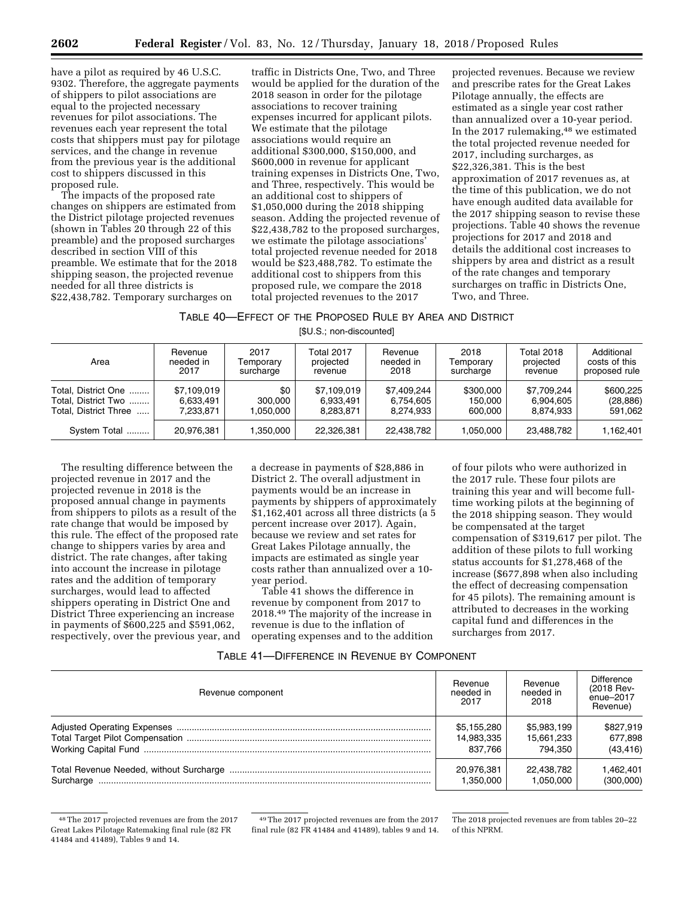have a pilot as required by 46 U.S.C. 9302. Therefore, the aggregate payments of shippers to pilot associations are equal to the projected necessary revenues for pilot associations. The revenues each year represent the total costs that shippers must pay for pilotage services, and the change in revenue from the previous year is the additional cost to shippers discussed in this proposed rule.

The impacts of the proposed rate changes on shippers are estimated from the District pilotage projected revenues (shown in Tables 20 through 22 of this preamble) and the proposed surcharges described in section VIII of this preamble. We estimate that for the 2018 shipping season, the projected revenue needed for all three districts is \$22,438,782. Temporary surcharges on

traffic in Districts One, Two, and Three would be applied for the duration of the 2018 season in order for the pilotage associations to recover training expenses incurred for applicant pilots. We estimate that the pilotage associations would require an additional \$300,000, \$150,000, and \$600,000 in revenue for applicant training expenses in Districts One, Two, and Three, respectively. This would be an additional cost to shippers of \$1,050,000 during the 2018 shipping season. Adding the projected revenue of \$22,438,782 to the proposed surcharges, we estimate the pilotage associations' total projected revenue needed for 2018 would be \$23,488,782. To estimate the additional cost to shippers from this proposed rule, we compare the 2018 total projected revenues to the 2017

projected revenues. Because we review and prescribe rates for the Great Lakes Pilotage annually, the effects are estimated as a single year cost rather than annualized over a 10-year period. In the 2017 rulemaking,<sup>48</sup> we estimated the total projected revenue needed for 2017, including surcharges, as \$22,326,381. This is the best approximation of 2017 revenues as, at the time of this publication, we do not have enough audited data available for the 2017 shipping season to revise these projections. Table 40 shows the revenue projections for 2017 and 2018 and details the additional cost increases to shippers by area and district as a result of the rate changes and temporary surcharges on traffic in Districts One, Two, and Three.

|  | TABLE 40-EFFECT OF THE PROPOSED RULE BY AREA AND DISTRICT |  |  |  |  |  |
|--|-----------------------------------------------------------|--|--|--|--|--|
|  |                                                           |  |  |  |  |  |

[\$U.S.; non-discounted]

| Area                  | Revenue     | 2017      | <b>Total 2017</b> | Revenue     | 2018      | <b>Total 2018</b> | Additional    |
|-----------------------|-------------|-----------|-------------------|-------------|-----------|-------------------|---------------|
|                       | needed in   | Temporary | projected         | needed in   | Temporary | projected         | costs of this |
|                       | 2017        | surcharge | revenue           | 2018        | surcharge | revenue           | proposed rule |
| Total, District One   | \$7,109,019 | \$0       | \$7,109,019       | \$7.409.244 | \$300,000 | \$7.709.244       | \$600.225     |
| Total, District Two   | 6.633.491   | 300.000   | 6.933.491         | 6.754.605   | 150.000   | 6.904.605         | (28, 886)     |
| Total. District Three | 7.233.871   | 1.050.000 | 8.283.871         | 8.274.933   | 600.000   | 8.874.933         | 591.062       |
| System Total          | 20.976.381  | .350.000  | 22.326.381        | 22.438.782  | 1.050.000 | 23.488.782        | 1,162,401     |

The resulting difference between the projected revenue in 2017 and the projected revenue in 2018 is the proposed annual change in payments from shippers to pilots as a result of the rate change that would be imposed by this rule. The effect of the proposed rate change to shippers varies by area and district. The rate changes, after taking into account the increase in pilotage rates and the addition of temporary surcharges, would lead to affected shippers operating in District One and District Three experiencing an increase in payments of \$600,225 and \$591,062, respectively, over the previous year, and a decrease in payments of \$28,886 in District 2. The overall adjustment in payments would be an increase in payments by shippers of approximately \$1,162,401 across all three districts (a 5 percent increase over 2017). Again, because we review and set rates for Great Lakes Pilotage annually, the impacts are estimated as single year costs rather than annualized over a 10 year period.

Table 41 shows the difference in revenue by component from 2017 to 2018.49 The majority of the increase in revenue is due to the inflation of operating expenses and to the addition

of four pilots who were authorized in the 2017 rule. These four pilots are training this year and will become fulltime working pilots at the beginning of the 2018 shipping season. They would be compensated at the target compensation of \$319,617 per pilot. The addition of these pilots to full working status accounts for \$1,278,468 of the increase (\$677,898 when also including the effect of decreasing compensation for 45 pilots). The remaining amount is attributed to decreases in the working capital fund and differences in the surcharges from 2017.

| Revenue component | Revenue<br>needed in<br>2017 | Revenue<br>needed in<br>2018 | Difference<br>(2018 Rev-<br>ènue-2017<br>Revenue) |
|-------------------|------------------------------|------------------------------|---------------------------------------------------|
|                   | \$5,155,280                  | \$5,983,199                  | \$827.919                                         |
|                   | 14,983,335                   | 15,661,233                   | 677,898                                           |
|                   | 837.766                      | 794.350                      | (43, 416)                                         |
|                   | 20,976,381                   | 22.438.782                   | 1.462.401                                         |
|                   | 1,350,000                    | 1.050.000                    | (300,000)                                         |

<sup>48</sup>The 2017 projected revenues are from the 2017 Great Lakes Pilotage Ratemaking final rule (82 FR 41484 and 41489), Tables 9 and 14.

<sup>49</sup>The 2017 projected revenues are from the 2017 final rule (82 FR 41484 and 41489), tables 9 and 14.

The 2018 projected revenues are from tables 20–22 of this NPRM.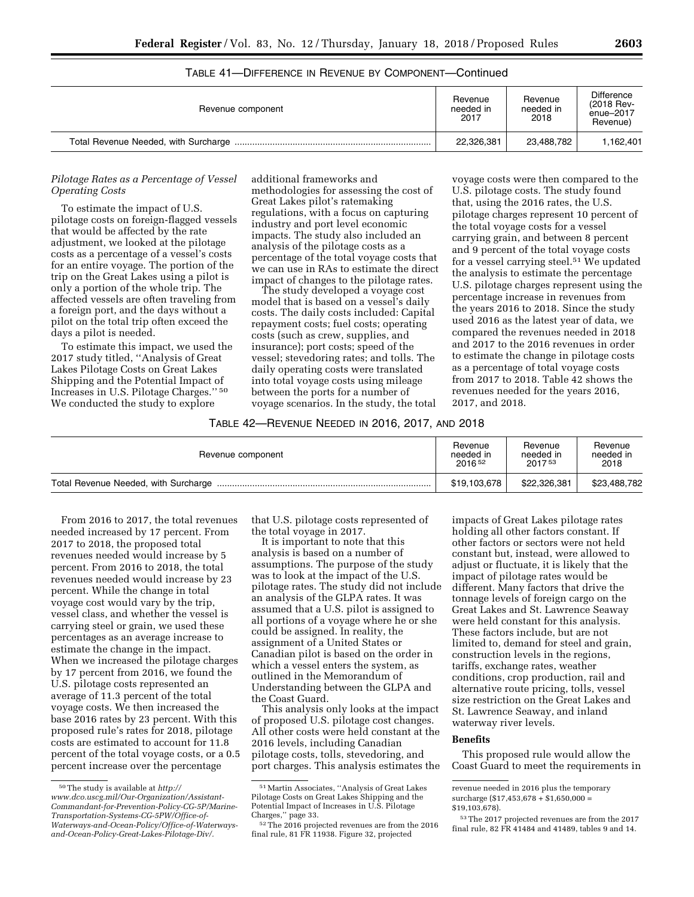| Revenue component | Revenue<br>needed in<br>2017 | Revenue<br>needed in<br>2018 | Difference<br>(2018 Rev-<br>enue-2017<br>Revenue) |
|-------------------|------------------------------|------------------------------|---------------------------------------------------|
|                   | 22,326,381                   | 23,488,782                   | 1.162.401                                         |

# TABLE 41—DIFFERENCE IN REVENUE BY COMPONENT—Continued

### *Pilotage Rates as a Percentage of Vessel Operating Costs*

To estimate the impact of U.S. pilotage costs on foreign-flagged vessels that would be affected by the rate adjustment, we looked at the pilotage costs as a percentage of a vessel's costs for an entire voyage. The portion of the trip on the Great Lakes using a pilot is only a portion of the whole trip. The affected vessels are often traveling from a foreign port, and the days without a pilot on the total trip often exceed the days a pilot is needed.

To estimate this impact, we used the 2017 study titled, ''Analysis of Great Lakes Pilotage Costs on Great Lakes Shipping and the Potential Impact of Increases in U.S. Pilotage Charges.'' 50 We conducted the study to explore

additional frameworks and methodologies for assessing the cost of Great Lakes pilot's ratemaking regulations, with a focus on capturing industry and port level economic impacts. The study also included an analysis of the pilotage costs as a percentage of the total voyage costs that we can use in RAs to estimate the direct impact of changes to the pilotage rates.

The study developed a voyage cost model that is based on a vessel's daily costs. The daily costs included: Capital repayment costs; fuel costs; operating costs (such as crew, supplies, and insurance); port costs; speed of the vessel; stevedoring rates; and tolls. The daily operating costs were translated into total voyage costs using mileage between the ports for a number of voyage scenarios. In the study, the total

voyage costs were then compared to the U.S. pilotage costs. The study found that, using the 2016 rates, the U.S. pilotage charges represent 10 percent of the total voyage costs for a vessel carrying grain, and between 8 percent and 9 percent of the total voyage costs for a vessel carrying steel.<sup>51</sup> We updated the analysis to estimate the percentage U.S. pilotage charges represent using the percentage increase in revenues from the years 2016 to 2018. Since the study used 2016 as the latest year of data, we compared the revenues needed in 2018 and 2017 to the 2016 revenues in order to estimate the change in pilotage costs as a percentage of total voyage costs from 2017 to 2018. Table 42 shows the revenues needed for the years 2016, 2017, and 2018.

### TABLE 42—REVENUE NEEDED IN 2016, 2017, AND 2018

| Revenue component | Revenue            | Revenue            | Revenue      |
|-------------------|--------------------|--------------------|--------------|
|                   | needed in          | needed in          | needed in    |
|                   | 2016 <sup>52</sup> | 2017 <sup>53</sup> | 2018         |
|                   | \$19,103,678       | \$22.326.381       | \$23,488,782 |

From 2016 to 2017, the total revenues needed increased by 17 percent. From 2017 to 2018, the proposed total revenues needed would increase by 5 percent. From 2016 to 2018, the total revenues needed would increase by 23 percent. While the change in total voyage cost would vary by the trip, vessel class, and whether the vessel is carrying steel or grain, we used these percentages as an average increase to estimate the change in the impact. When we increased the pilotage charges by 17 percent from 2016, we found the U.S. pilotage costs represented an average of 11.3 percent of the total voyage costs. We then increased the base 2016 rates by 23 percent. With this proposed rule's rates for 2018, pilotage costs are estimated to account for 11.8 percent of the total voyage costs, or a 0.5 percent increase over the percentage

that U.S. pilotage costs represented of the total voyage in 2017.

It is important to note that this analysis is based on a number of assumptions. The purpose of the study was to look at the impact of the U.S. pilotage rates. The study did not include an analysis of the GLPA rates. It was assumed that a U.S. pilot is assigned to all portions of a voyage where he or she could be assigned. In reality, the assignment of a United States or Canadian pilot is based on the order in which a vessel enters the system, as outlined in the Memorandum of Understanding between the GLPA and the Coast Guard.

This analysis only looks at the impact of proposed U.S. pilotage cost changes. All other costs were held constant at the 2016 levels, including Canadian pilotage costs, tolls, stevedoring, and port charges. This analysis estimates the

impacts of Great Lakes pilotage rates holding all other factors constant. If other factors or sectors were not held constant but, instead, were allowed to adjust or fluctuate, it is likely that the impact of pilotage rates would be different. Many factors that drive the tonnage levels of foreign cargo on the Great Lakes and St. Lawrence Seaway were held constant for this analysis. These factors include, but are not limited to, demand for steel and grain, construction levels in the regions, tariffs, exchange rates, weather conditions, crop production, rail and alternative route pricing, tolls, vessel size restriction on the Great Lakes and St. Lawrence Seaway, and inland waterway river levels.

### **Benefits**

This proposed rule would allow the Coast Guard to meet the requirements in

<sup>50</sup>The study is available at *[http://](http://www.dco.uscg.mil/Our-Organization/Assistant-Commandant-for-Prevention-Policy-CG-5P/Marine-Transportation-Systems-CG-5PW/Office-of-Waterways-and-Ocean-Policy/Office-of-Waterways-and-Ocean-Policy-Great-Lakes-Pilotage-Div/) [www.dco.uscg.mil/Our-Organization/Assistant-](http://www.dco.uscg.mil/Our-Organization/Assistant-Commandant-for-Prevention-Policy-CG-5P/Marine-Transportation-Systems-CG-5PW/Office-of-Waterways-and-Ocean-Policy/Office-of-Waterways-and-Ocean-Policy-Great-Lakes-Pilotage-Div/)[Commandant-for-Prevention-Policy-CG-5P/Marine-](http://www.dco.uscg.mil/Our-Organization/Assistant-Commandant-for-Prevention-Policy-CG-5P/Marine-Transportation-Systems-CG-5PW/Office-of-Waterways-and-Ocean-Policy/Office-of-Waterways-and-Ocean-Policy-Great-Lakes-Pilotage-Div/)[Transportation-Systems-CG-5PW/Office-of-](http://www.dco.uscg.mil/Our-Organization/Assistant-Commandant-for-Prevention-Policy-CG-5P/Marine-Transportation-Systems-CG-5PW/Office-of-Waterways-and-Ocean-Policy/Office-of-Waterways-and-Ocean-Policy-Great-Lakes-Pilotage-Div/)[Waterways-and-Ocean-Policy/Office-of-Waterways](http://www.dco.uscg.mil/Our-Organization/Assistant-Commandant-for-Prevention-Policy-CG-5P/Marine-Transportation-Systems-CG-5PW/Office-of-Waterways-and-Ocean-Policy/Office-of-Waterways-and-Ocean-Policy-Great-Lakes-Pilotage-Div/)[and-Ocean-Policy-Great-Lakes-Pilotage-Div/.](http://www.dco.uscg.mil/Our-Organization/Assistant-Commandant-for-Prevention-Policy-CG-5P/Marine-Transportation-Systems-CG-5PW/Office-of-Waterways-and-Ocean-Policy/Office-of-Waterways-and-Ocean-Policy-Great-Lakes-Pilotage-Div/)* 

<sup>51</sup>Martin Associates, ''Analysis of Great Lakes Pilotage Costs on Great Lakes Shipping and the Potential Impact of Increases in U.S. Pilotage Charges,'' page 33.

<sup>52</sup>The 2016 projected revenues are from the 2016 final rule, 81 FR 11938. Figure 32, projected

revenue needed in 2016 plus the temporary surcharge (\$17,453,678 + \$1,650,000 = \$19,103,678).

<sup>53</sup>The 2017 projected revenues are from the 2017 final rule, 82 FR 41484 and 41489, tables 9 and 14.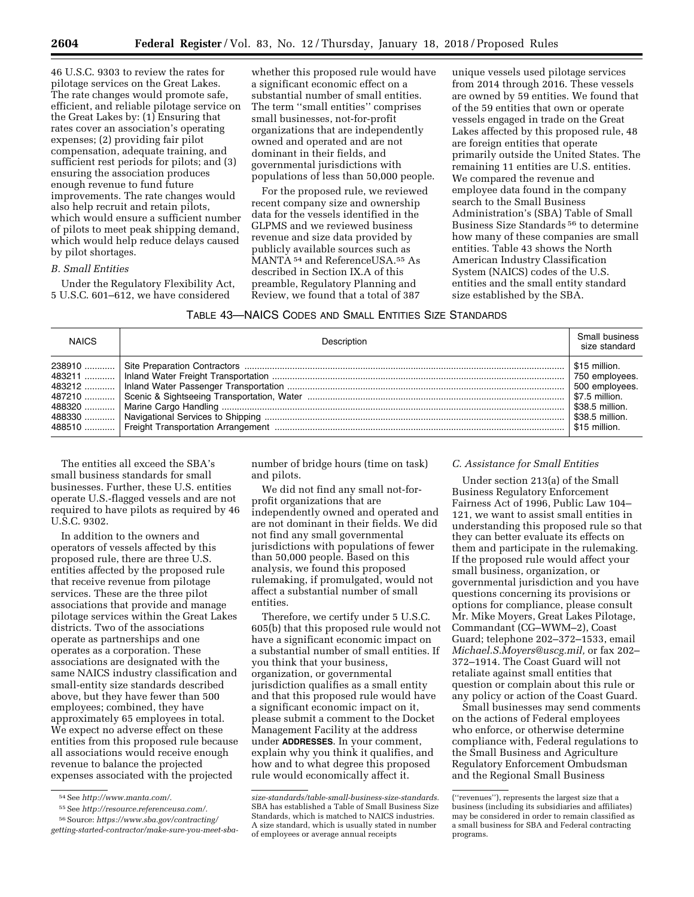46 U.S.C. 9303 to review the rates for pilotage services on the Great Lakes. The rate changes would promote safe, efficient, and reliable pilotage service on the Great Lakes by: (1) Ensuring that rates cover an association's operating expenses; (2) providing fair pilot compensation, adequate training, and sufficient rest periods for pilots; and (3) ensuring the association produces enough revenue to fund future improvements. The rate changes would also help recruit and retain pilots, which would ensure a sufficient number of pilots to meet peak shipping demand, which would help reduce delays caused by pilot shortages.

### *B. Small Entities*

Under the Regulatory Flexibility Act, 5 U.S.C. 601–612, we have considered

whether this proposed rule would have a significant economic effect on a substantial number of small entities. The term ''small entities'' comprises small businesses, not-for-profit organizations that are independently owned and operated and are not dominant in their fields, and governmental jurisdictions with populations of less than 50,000 people.

For the proposed rule, we reviewed recent company size and ownership data for the vessels identified in the GLPMS and we reviewed business revenue and size data provided by publicly available sources such as MANTA 54 and ReferenceUSA.55 As described in Section IX.A of this preamble, Regulatory Planning and Review, we found that a total of 387

unique vessels used pilotage services from 2014 through 2016. These vessels are owned by 59 entities. We found that of the 59 entities that own or operate vessels engaged in trade on the Great Lakes affected by this proposed rule, 48 are foreign entities that operate primarily outside the United States. The remaining 11 entities are U.S. entities. We compared the revenue and employee data found in the company search to the Small Business Administration's (SBA) Table of Small Business Size Standards 56 to determine how many of these companies are small entities. Table 43 shows the North American Industry Classification System (NAICS) codes of the U.S. entities and the small entity standard size established by the SBA.

# TABLE 43—NAICS CODES AND SMALL ENTITIES SIZE STANDARDS

| <b>NAICS</b> | Description | Small business<br>size standard                                                                                            |
|--------------|-------------|----------------------------------------------------------------------------------------------------------------------------|
|              |             | \$15 million.<br>750 employees.<br>500 employees.<br>\$7.5 million.<br>\$38.5 million.<br>\$38.5 million.<br>\$15 million. |

The entities all exceed the SBA's small business standards for small businesses. Further, these U.S. entities operate U.S.-flagged vessels and are not required to have pilots as required by 46 U.S.C. 9302.

In addition to the owners and operators of vessels affected by this proposed rule, there are three U.S. entities affected by the proposed rule that receive revenue from pilotage services. These are the three pilot associations that provide and manage pilotage services within the Great Lakes districts. Two of the associations operate as partnerships and one operates as a corporation. These associations are designated with the same NAICS industry classification and small-entity size standards described above, but they have fewer than 500 employees; combined, they have approximately 65 employees in total. We expect no adverse effect on these entities from this proposed rule because all associations would receive enough revenue to balance the projected expenses associated with the projected

number of bridge hours (time on task) and pilots.

We did not find any small not-forprofit organizations that are independently owned and operated and are not dominant in their fields. We did not find any small governmental jurisdictions with populations of fewer than 50,000 people. Based on this analysis, we found this proposed rulemaking, if promulgated, would not affect a substantial number of small entities.

Therefore, we certify under 5 U.S.C. 605(b) that this proposed rule would not have a significant economic impact on a substantial number of small entities. If you think that your business, organization, or governmental jurisdiction qualifies as a small entity and that this proposed rule would have a significant economic impact on it, please submit a comment to the Docket Management Facility at the address under **ADDRESSES**. In your comment, explain why you think it qualifies, and how and to what degree this proposed rule would economically affect it.

### *C. Assistance for Small Entities*

Under section 213(a) of the Small Business Regulatory Enforcement Fairness Act of 1996, Public Law 104– 121, we want to assist small entities in understanding this proposed rule so that they can better evaluate its effects on them and participate in the rulemaking. If the proposed rule would affect your small business, organization, or governmental jurisdiction and you have questions concerning its provisions or options for compliance, please consult Mr. Mike Moyers, Great Lakes Pilotage, Commandant (CG–WWM–2), Coast Guard; telephone 202–372–1533, email *[Michael.S.Moyers@uscg.mil,](mailto:Michael.S.Moyers@uscg.mil)* or fax 202– 372–1914. The Coast Guard will not retaliate against small entities that question or complain about this rule or any policy or action of the Coast Guard.

Small businesses may send comments on the actions of Federal employees who enforce, or otherwise determine compliance with, Federal regulations to the Small Business and Agriculture Regulatory Enforcement Ombudsman and the Regional Small Business

<sup>54</sup>See *[http://www.manta.com/.](http://www.manta.com/)* 

<sup>55</sup>See *[http://resource.referenceusa.com/.](http://resource.referenceusa.com/)* 

<sup>56</sup>Source: *[https://www.sba.gov/contracting/](https://www.sba.gov/contracting/getting-started-contractor/make-sure-you-meet-sba-size-standards/table-small-business-size-standards)  [getting-started-contractor/make-sure-you-meet-sba-](https://www.sba.gov/contracting/getting-started-contractor/make-sure-you-meet-sba-size-standards/table-small-business-size-standards)*

*[size-standards/table-small-business-size-standards.](https://www.sba.gov/contracting/getting-started-contractor/make-sure-you-meet-sba-size-standards/table-small-business-size-standards)*  SBA has established a Table of Small Business Size Standards, which is matched to NAICS industries. A size standard, which is usually stated in number of employees or average annual receipts

<sup>(&#</sup>x27;'revenues''), represents the largest size that a business (including its subsidiaries and affiliates) may be considered in order to remain classified as a small business for SBA and Federal contracting programs.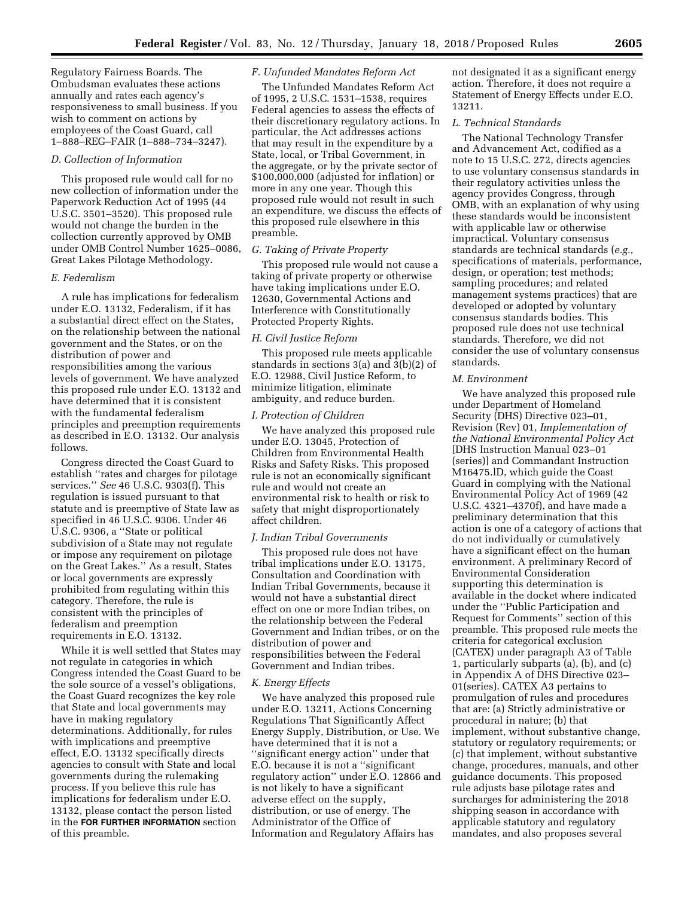Regulatory Fairness Boards. The Ombudsman evaluates these actions annually and rates each agency's responsiveness to small business. If you wish to comment on actions by employees of the Coast Guard, call 1–888–REG–FAIR (1–888–734–3247).

#### *D. Collection of Information*

This proposed rule would call for no new collection of information under the Paperwork Reduction Act of 1995 (44 U.S.C. 3501–3520). This proposed rule would not change the burden in the collection currently approved by OMB under OMB Control Number 1625–0086, Great Lakes Pilotage Methodology.

### *E. Federalism*

A rule has implications for federalism under E.O. 13132, Federalism, if it has a substantial direct effect on the States, on the relationship between the national government and the States, or on the distribution of power and responsibilities among the various levels of government. We have analyzed this proposed rule under E.O. 13132 and have determined that it is consistent with the fundamental federalism principles and preemption requirements as described in E.O. 13132. Our analysis follows.

Congress directed the Coast Guard to establish ''rates and charges for pilotage services.'' *See* 46 U.S.C. 9303(f). This regulation is issued pursuant to that statute and is preemptive of State law as specified in 46 U.S.C. 9306. Under 46 U.S.C. 9306, a ''State or political subdivision of a State may not regulate or impose any requirement on pilotage on the Great Lakes.'' As a result, States or local governments are expressly prohibited from regulating within this category. Therefore, the rule is consistent with the principles of federalism and preemption requirements in E.O. 13132.

While it is well settled that States may not regulate in categories in which Congress intended the Coast Guard to be the sole source of a vessel's obligations, the Coast Guard recognizes the key role that State and local governments may have in making regulatory determinations. Additionally, for rules with implications and preemptive effect, E.O. 13132 specifically directs agencies to consult with State and local governments during the rulemaking process. If you believe this rule has implications for federalism under E.O. 13132, please contact the person listed in the **FOR FURTHER INFORMATION** section of this preamble.

#### *F. Unfunded Mandates Reform Act*

The Unfunded Mandates Reform Act of 1995, 2 U.S.C. 1531–1538, requires Federal agencies to assess the effects of their discretionary regulatory actions. In particular, the Act addresses actions that may result in the expenditure by a State, local, or Tribal Government, in the aggregate, or by the private sector of \$100,000,000 (adjusted for inflation) or more in any one year. Though this proposed rule would not result in such an expenditure, we discuss the effects of this proposed rule elsewhere in this preamble.

### *G. Taking of Private Property*

This proposed rule would not cause a taking of private property or otherwise have taking implications under E.O. 12630, Governmental Actions and Interference with Constitutionally Protected Property Rights.

#### *H. Civil Justice Reform*

This proposed rule meets applicable standards in sections 3(a) and 3(b)(2) of E.O. 12988, Civil Justice Reform, to minimize litigation, eliminate ambiguity, and reduce burden.

### *I. Protection of Children*

We have analyzed this proposed rule under E.O. 13045, Protection of Children from Environmental Health Risks and Safety Risks. This proposed rule is not an economically significant rule and would not create an environmental risk to health or risk to safety that might disproportionately affect children.

#### *J. Indian Tribal Governments*

This proposed rule does not have tribal implications under E.O. 13175, Consultation and Coordination with Indian Tribal Governments, because it would not have a substantial direct effect on one or more Indian tribes, on the relationship between the Federal Government and Indian tribes, or on the distribution of power and responsibilities between the Federal Government and Indian tribes.

#### *K. Energy Effects*

We have analyzed this proposed rule under E.O. 13211, Actions Concerning Regulations That Significantly Affect Energy Supply, Distribution, or Use. We have determined that it is not a ''significant energy action'' under that E.O. because it is not a ''significant regulatory action'' under E.O. 12866 and is not likely to have a significant adverse effect on the supply, distribution, or use of energy. The Administrator of the Office of Information and Regulatory Affairs has

not designated it as a significant energy action. Therefore, it does not require a Statement of Energy Effects under E.O. 13211.

### *L. Technical Standards*

The National Technology Transfer and Advancement Act, codified as a note to 15 U.S.C. 272, directs agencies to use voluntary consensus standards in their regulatory activities unless the agency provides Congress, through OMB, with an explanation of why using these standards would be inconsistent with applicable law or otherwise impractical. Voluntary consensus standards are technical standards (*e.g.,*  specifications of materials, performance, design, or operation; test methods; sampling procedures; and related management systems practices) that are developed or adopted by voluntary consensus standards bodies. This proposed rule does not use technical standards. Therefore, we did not consider the use of voluntary consensus standards.

#### *M. Environment*

We have analyzed this proposed rule under Department of Homeland Security (DHS) Directive 023–01, Revision (Rev) 01, *Implementation of the National Environmental Policy Act*  [DHS Instruction Manual 023–01 (series)] and Commandant Instruction M16475.lD, which guide the Coast Guard in complying with the National Environmental Policy Act of 1969 (42 U.S.C. 4321–4370f), and have made a preliminary determination that this action is one of a category of actions that do not individually or cumulatively have a significant effect on the human environment. A preliminary Record of Environmental Consideration supporting this determination is available in the docket where indicated under the ''Public Participation and Request for Comments'' section of this preamble. This proposed rule meets the criteria for categorical exclusion (CATEX) under paragraph A3 of Table 1, particularly subparts (a), (b), and (c) in Appendix A of DHS Directive 023– 01(series). CATEX A3 pertains to promulgation of rules and procedures that are: (a) Strictly administrative or procedural in nature; (b) that implement, without substantive change, statutory or regulatory requirements; or (c) that implement, without substantive change, procedures, manuals, and other guidance documents. This proposed rule adjusts base pilotage rates and surcharges for administering the 2018 shipping season in accordance with applicable statutory and regulatory mandates, and also proposes several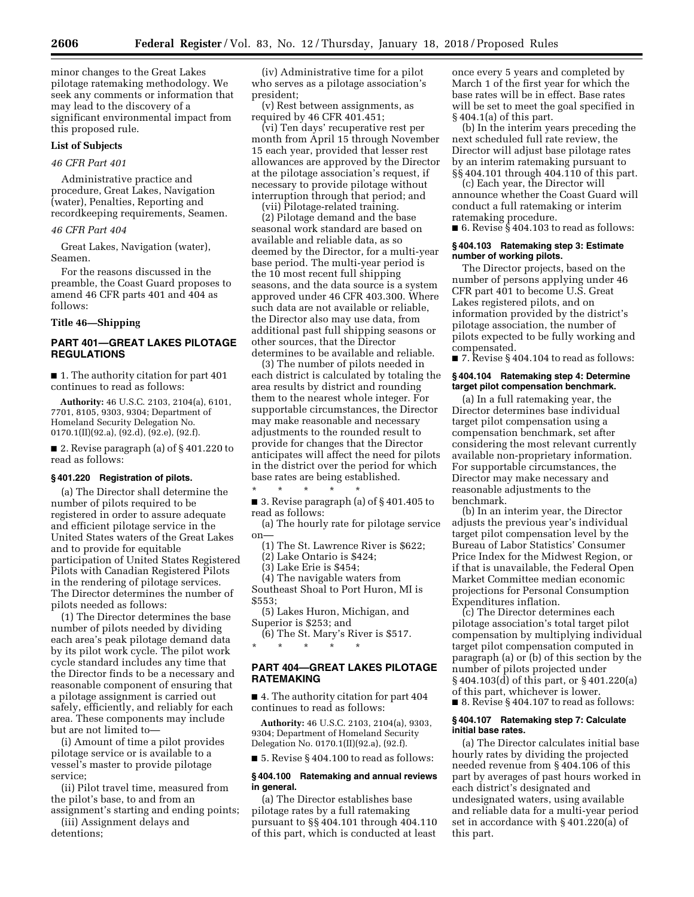minor changes to the Great Lakes pilotage ratemaking methodology. We seek any comments or information that may lead to the discovery of a significant environmental impact from this proposed rule.

### **List of Subjects**

### *46 CFR Part 401*

Administrative practice and procedure, Great Lakes, Navigation (water), Penalties, Reporting and recordkeeping requirements, Seamen.

### *46 CFR Part 404*

Great Lakes, Navigation (water), Seamen.

For the reasons discussed in the preamble, the Coast Guard proposes to amend 46 CFR parts 401 and 404 as follows:

# **Title 46—Shipping**

### **PART 401—GREAT LAKES PILOTAGE REGULATIONS**

■ 1. The authority citation for part 401 continues to read as follows:

**Authority:** 46 U.S.C. 2103, 2104(a), 6101, 7701, 8105, 9303, 9304; Department of Homeland Security Delegation No. 0170.1(II)(92.a), (92.d), (92.e), (92.f).

■ 2. Revise paragraph (a) of §401.220 to read as follows:

### **§ 401.220 Registration of pilots.**

(a) The Director shall determine the number of pilots required to be registered in order to assure adequate and efficient pilotage service in the United States waters of the Great Lakes and to provide for equitable participation of United States Registered Pilots with Canadian Registered Pilots in the rendering of pilotage services. The Director determines the number of pilots needed as follows:

(1) The Director determines the base number of pilots needed by dividing each area's peak pilotage demand data by its pilot work cycle. The pilot work cycle standard includes any time that the Director finds to be a necessary and reasonable component of ensuring that a pilotage assignment is carried out safely, efficiently, and reliably for each area. These components may include but are not limited to—

(i) Amount of time a pilot provides pilotage service or is available to a vessel's master to provide pilotage service;

(ii) Pilot travel time, measured from the pilot's base, to and from an assignment's starting and ending points;

(iii) Assignment delays and detentions;

(iv) Administrative time for a pilot who serves as a pilotage association's president;

(v) Rest between assignments, as required by 46 CFR 401.451;

(vi) Ten days' recuperative rest per month from April 15 through November 15 each year, provided that lesser rest allowances are approved by the Director at the pilotage association's request, if necessary to provide pilotage without interruption through that period; and

(vii) Pilotage-related training.

(2) Pilotage demand and the base seasonal work standard are based on available and reliable data, as so deemed by the Director, for a multi-year base period. The multi-year period is the 10 most recent full shipping seasons, and the data source is a system approved under 46 CFR 403.300. Where such data are not available or reliable, the Director also may use data, from additional past full shipping seasons or other sources, that the Director determines to be available and reliable.

(3) The number of pilots needed in each district is calculated by totaling the area results by district and rounding them to the nearest whole integer. For supportable circumstances, the Director may make reasonable and necessary adjustments to the rounded result to provide for changes that the Director anticipates will affect the need for pilots in the district over the period for which base rates are being established.

\* \* \* \* \* ■ 3. Revise paragraph (a) of § 401.405 to read as follows:

(a) The hourly rate for pilotage service on—

(1) The St. Lawrence River is \$622;

(2) Lake Ontario is \$424;

(3) Lake Erie is \$454;

(4) The navigable waters from Southeast Shoal to Port Huron, MI is \$553;

(5) Lakes Huron, Michigan, and Superior is \$253; and

(6) The St. Mary's River is \$517. \* \* \* \* \*

# **PART 404—GREAT LAKES PILOTAGE RATEMAKING**

■ 4. The authority citation for part 404 continues to read as follows:

**Authority:** 46 U.S.C. 2103, 2104(a), 9303, 9304; Department of Homeland Security Delegation No. 0170.1(II)(92.a), (92.f).

■ 5. Revise § 404.100 to read as follows:

### **§ 404.100 Ratemaking and annual reviews in general.**

(a) The Director establishes base pilotage rates by a full ratemaking pursuant to §§ 404.101 through 404.110 of this part, which is conducted at least

once every 5 years and completed by March 1 of the first year for which the base rates will be in effect. Base rates will be set to meet the goal specified in § 404.1(a) of this part.

(b) In the interim years preceding the next scheduled full rate review, the Director will adjust base pilotage rates by an interim ratemaking pursuant to §§ 404.101 through 404.110 of this part.

(c) Each year, the Director will announce whether the Coast Guard will conduct a full ratemaking or interim ratemaking procedure.

■ 6. Revise § 404.103 to read as follows:

### **§ 404.103 Ratemaking step 3: Estimate number of working pilots.**

The Director projects, based on the number of persons applying under 46 CFR part 401 to become U.S. Great Lakes registered pilots, and on information provided by the district's pilotage association, the number of pilots expected to be fully working and compensated.

 $\blacksquare$  7. Revise § 404.104 to read as follows:

### **§ 404.104 Ratemaking step 4: Determine target pilot compensation benchmark.**

(a) In a full ratemaking year, the Director determines base individual target pilot compensation using a compensation benchmark, set after considering the most relevant currently available non-proprietary information. For supportable circumstances, the Director may make necessary and reasonable adjustments to the benchmark.

(b) In an interim year, the Director adjusts the previous year's individual target pilot compensation level by the Bureau of Labor Statistics' Consumer Price Index for the Midwest Region, or if that is unavailable, the Federal Open Market Committee median economic projections for Personal Consumption Expenditures inflation.

(c) The Director determines each pilotage association's total target pilot compensation by multiplying individual target pilot compensation computed in paragraph (a) or (b) of this section by the number of pilots projected under § 404.103(d) of this part, or § 401.220(a) of this part, whichever is lower. ■ 8. Revise § 404.107 to read as follows:

### **§ 404.107 Ratemaking step 7: Calculate initial base rates.**

(a) The Director calculates initial base hourly rates by dividing the projected needed revenue from § 404.106 of this part by averages of past hours worked in each district's designated and undesignated waters, using available and reliable data for a multi-year period set in accordance with § 401.220(a) of this part.